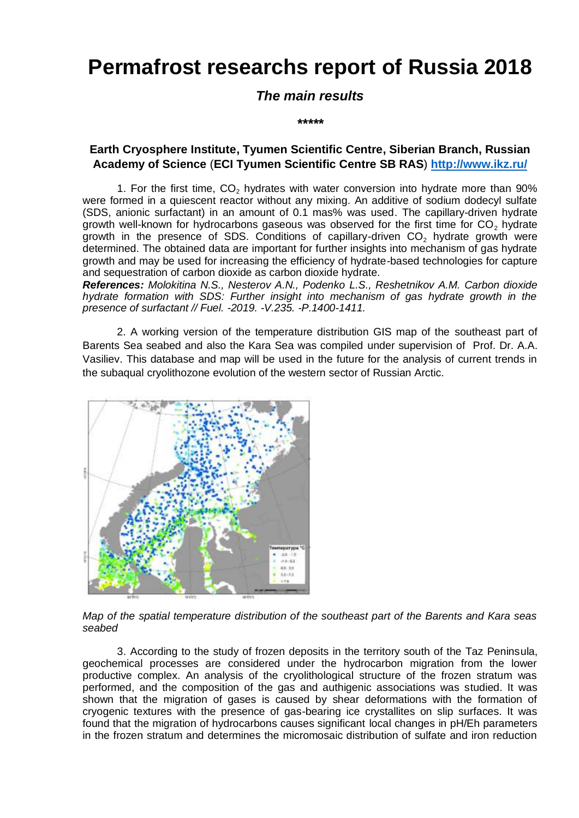# **Permafrost researchs report of Russia 2018**

# *The main results*

*\*\*\*\*\**

### **Earth Cryosphere Institute, Tyumen Scientific Centre, Siberian Branch, Russian Academy of Science** (**ECI Tyumen Scientific Centre SB RAS**) **<http://www.ikz.ru/>**

1. For the first time,  $CO<sub>2</sub>$  hydrates with water conversion into hydrate more than 90% were formed in a quiescent reactor without any mixing. An additive of sodium dodecyl sulfate (SDS, anionic surfactant) in an amount of 0.1 mas% was used. The capillary-driven hydrate growth well-known for hydrocarbons gaseous was observed for the first time for  $CO<sub>2</sub>$  hydrate growth in the presence of SDS. Conditions of capillary-driven CO<sup>2</sup> hydrate growth were determined. The obtained data are important for further insights into mechanism of gas hydrate growth and may be used for increasing the efficiency of hydrate-based technologies for capture and sequestration of carbon dioxide as carbon dioxide hydrate.

*References: Molokitina N.S., Nesterov A.N., Podenko L.S., Reshetnikov A.M. Carbon dioxide hydrate formation with SDS: Further insight into mechanism of gas hydrate growth in the presence of surfactant // Fuel. -2019. -V.235. -P.1400-1411.*

2. A working version of the temperature distribution GIS map of the southeast part of Barents Sea seabed and also the Kara Sea was compiled under supervision of Prof. Dr. A.A. Vasiliev. This database and map will be used in the future for the analysis of current trends in the subaqual cryolithozone evolution of the western sector of Russian Arctic.



*Map of the spatial temperature distribution of the southeast part of the Barents and Kara seas seabed*

3. According to the study of frozen deposits in the territory south of the Taz Peninsula, geochemical processes are considered under the hydrocarbon migration from the lower productive complex. An analysis of the cryolithological structure of the frozen stratum was performed, and the composition of the gas and authigenic associations was studied. It was shown that the migration of gases is caused by shear deformations with the formation of cryogenic textures with the presence of gas-bearing ice crystallites on slip surfaces. It was found that the migration of hydrocarbons causes significant local changes in pH/Eh parameters in the frozen stratum and determines the micromosaic distribution of sulfate and iron reduction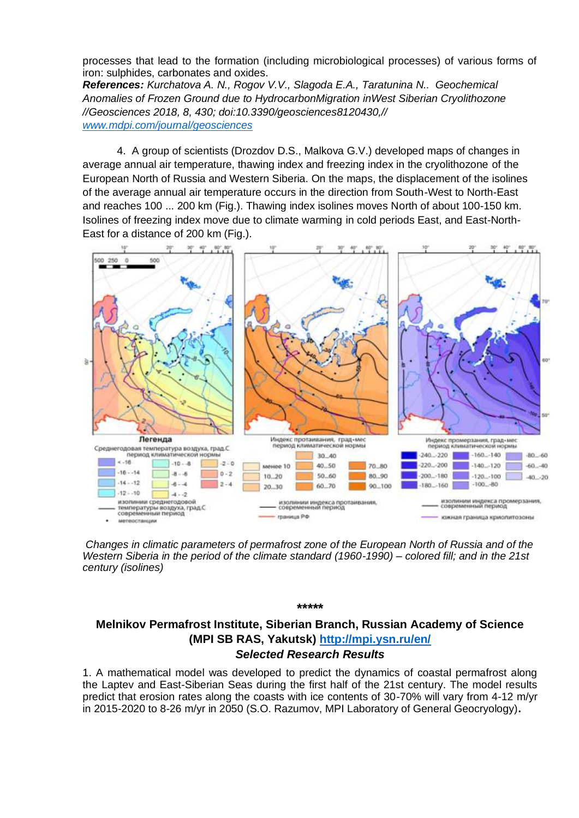processes that lead to the formation (including microbiological processes) of various forms of iron: sulphides, carbonates and oxides.

*References: Kurchatova A. N., Rogov V.V., Slagoda E.A., Taratunina N.. Geochemical Anomalies of Frozen Ground due to HydrocarbonMigration inWest Siberian Cryolithozone //Geosciences 2018, 8, 430; doi:10.3390/geosciences8120430,// [www.mdpi.com/journal/geosciences](http://www.mdpi.com/journal/geosciences)*

4. A group of scientists (Drozdov D.S., Malkova G.V.) developed maps of changes in average annual air temperature, thawing index and freezing index in the cryolithozone of the European North of Russia and Western Siberia. On the maps, the displacement of the isolines of the average annual air temperature occurs in the direction from South-West to North-East and reaches 100 ... 200 km (Fig.). Thawing index isolines moves North of about 100-150 km. Isolines of freezing index move due to climate warming in cold periods East, and East-North-East for a distance of 200 km (Fig.).



*Changes in climatic parameters of permafrost zone of the European North of Russia and of the Western Siberia in the period of the climate standard (1960-1990) – colored fill; and in the 21st century (isolines)*

# **Melnikov Permafrost Institute, Siberian Branch, Russian Academy of Science (MPI SB RAS, Yakutsk) <http://mpi.ysn.ru/en/>** *Selected Research Results*

**\*\*\*\*\***

1. A mathematical model was developed to predict the dynamics of coastal permafrost along the Laptev and East-Siberian Seas during the first half of the 21st century. The model results predict that erosion rates along the coasts with ice contents of 30-70% will vary from 4-12 m/yr in 2015-2020 to 8-26 m/yr in 2050 (S.O. Razumov, MPI Laboratory of General Geocryology)**.**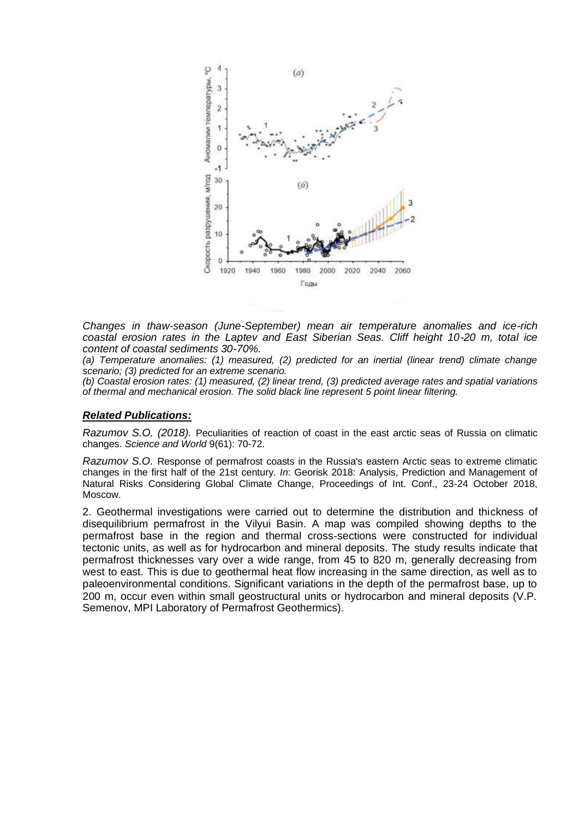

*Changes in thaw-season (June-September) mean air temperature anomalies and ice-rich coastal erosion rates in the Laptev and East Siberian Seas. Cliff height 10-20 m, total ice content of coastal sediments 30-70%.*

*(a) Temperature anomalies: (1) measured, (2) predicted for an inertial (linear trend) climate change scenario; (3) predicted for an extreme scenario.*

*(b) Coastal erosion rates: (1) measured, (2) linear trend, (3) predicted average rates and spatial variations of thermal and mechanical erosion. The solid black line represent 5 point linear filtering.*

### *Related Publications:*

*Razumov S.O. (2018).* Peculiarities of reaction of coast in the east arctic seas of Russia on climatic changes. *Science and World* 9(61): 70-72.

*Razumov S.O.* Response of permafrost coasts in the Russia's eastern Arctic seas to extreme climatic changes in the first half of the 21st century. *In*: Georisk 2018: Analysis, Prediction and Management of Natural Risks Considering Global Climate Change, Proceedings of Int. Conf., 23-24 October 2018, Moscow.

2. Geothermal investigations were carried out to determine the distribution and thickness of disequilibrium permafrost in the Vilyui Basin. A map was compiled showing depths to the permafrost base in the region and thermal cross-sections were constructed for individual tectonic units, as well as for hydrocarbon and mineral deposits. The study results indicate that permafrost thicknesses vary over a wide range, from 45 to 820 m, generally decreasing from west to east. This is due to geothermal heat flow increasing in the same direction, as well as to paleoenvironmental conditions. Significant variations in the depth of the permafrost base, up to 200 m, occur even within small geostructural units or hydrocarbon and mineral deposits (V.P. Semenov, MPI Laboratory of Permafrost Geothermics).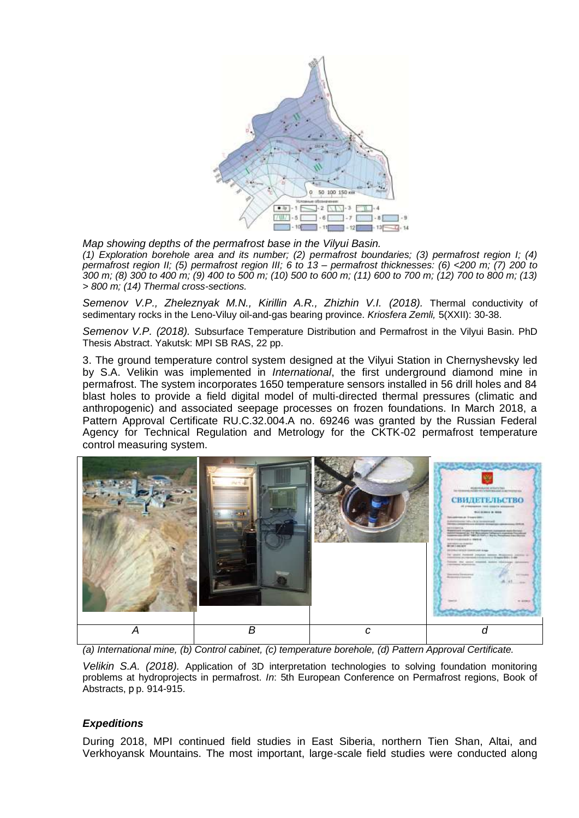

*Map showing depths of the permafrost base in the Vilyui Basin. (1) Exploration borehole area and its number; (2) permafrost boundaries; (3) permafrost region I; (4) permafrost region II; (5) permafrost region III; 6 to 13 – permafrost thicknesses: (6) <200 m; (7) 200 to 300 m; (8) 300 to 400 m; (9) 400 to 500 m; (10) 500 to 600 m; (11) 600 to 700 m; (12) 700 to 800 m; (13) > 800 m; (14) Thermal cross-sections.*

*Semenov V.P., Zheleznyak M.N., Kirillin A.R., Zhizhin V.I. (2018).* Thermal conductivity of sedimentary rocks in the Leno-Viluy oil-and-gas bearing province. *Kriosfera Zemli,* 5(XXII): 30-38.

*Semenov V.P. (2018).* Subsurface Temperature Distribution and Permafrost in the Vilyui Basin. PhD Thesis Abstract. Yakutsk: MPI SB RAS, 22 pp.

3. The ground temperature control system designed at the Vilyui Station in Chernyshevsky led by S.A. Velikin was implemented in *International*, the first underground diamond mine in permafrost. The system incorporates 1650 temperature sensors installed in 56 drill holes and 84 blast holes to provide a field digital model of multi-directed thermal pressures (climatic and anthropogenic) and associated seepage processes on frozen foundations. In March 2018, a Pattern Approval Certificate RU.C.32.004.A no. 69246 was granted by the Russian Federal Agency for Technical Regulation and Metrology for the CKTK-02 permafrost temperature control measuring system.



*(a) International mine, (b) Control cabinet, (c) temperature borehole, (d) Pattern Approval Certificate.*

*Velikin S.A. (2018).* Application of 3D interpretation technologies to solving foundation monitoring problems at hydroprojects in permafrost. *In*: 5th European Conference on Permafrost regions, Book of Abstracts, р p. 914-915.

### *Expeditions*

During 2018, MPI continued field studies in East Siberia, northern Tien Shan, Altai, and Verkhoyansk Mountains. The most important, large-scale field studies were conducted along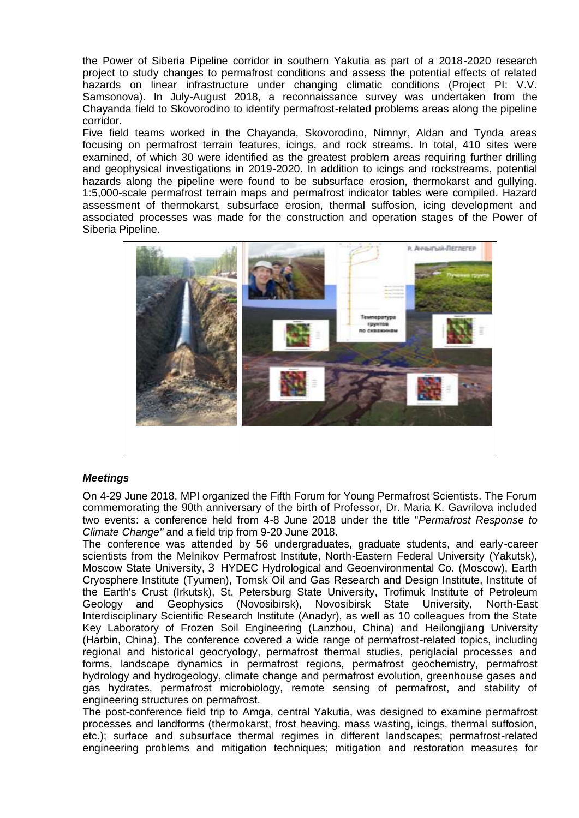the Power of Siberia Pipeline corridor in southern Yakutia as part of a 2018-2020 research project to study changes to permafrost conditions and assess the potential effects of related hazards on linear infrastructure under changing climatic conditions (Project PI: V.V. Samsonova). In July-August 2018, a reconnaissance survey was undertaken from the Chayanda field to Skovorodino to identify permafrost-related problems areas along the pipeline corridor.

Five field teams worked in the Chayanda, Skovorodino, Nimnyr, Aldan and Tynda areas focusing on permafrost terrain features, icings, and rock streams. In total, 410 sites were examined, of which 30 were identified as the greatest problem areas requiring further drilling and geophysical investigations in 2019-2020. In addition to icings and rockstreams, potential hazards along the pipeline were found to be subsurface erosion, thermokarst and gullying. 1:5,000-scale permafrost terrain maps and permafrost indicator tables were compiled. Hazard assessment of thermokarst, subsurface erosion, thermal suffosion, icing development and associated processes was made for the construction and operation stages of the Power of Siberia Pipeline.



### *Meetings*

On 4-29 June 2018, MPI organized the Fifth Forum for Young Permafrost Scientists. The Forum commemorating the 90th anniversary of the birth of Professor, Dr. Maria K. Gavrilova included two events: a conference held from 4-8 June 2018 under the title "*Permafrost Response to Climate Change"* and a field trip from 9-20 June 2018.

The conference was attended by 56 undergraduates, graduate students, and early-career scientists from the Melnikov Permafrost Institute, North-Eastern Federal University (Yakutsk), Moscow State University, З HYDEC Hydrological and Geoenvironmental Co. (Moscow), Earth Cryosphere Institute (Tyumen), Tomsk Oil and Gas Research and Design Institute, Institute of the Earth's Crust (Irkutsk), St. Petersburg State University, Trofimuk Institute of Petroleum Geology and Geophysics (Novosibirsk), Novosibirsk State University, North-East Interdisciplinary Scientific Research Institute (Anadyr), as well as 10 colleagues from the State Key Laboratory of Frozen Soil Engineering (Lanzhou, China) and Heilongjiang University (Harbin, China). The conference covered a wide range of permafrost-related topics, including regional and historical geocryology, permafrost thermal studies, periglacial processes and forms, landscape dynamics in permafrost regions, permafrost geochemistry, permafrost hydrology and hydrogeology, climate change and permafrost evolution, greenhouse gases and gas hydrates, permafrost microbiology, remote sensing of permafrost, and stability of engineering structures on permafrost.

The post-conference field trip to Amga, central Yakutia, was designed to examine permafrost processes and landforms (thermokarst, frost heaving, mass wasting, icings, thermal suffosion, etc.); surface and subsurface thermal regimes in different landscapes; permafrost-related engineering problems and mitigation techniques; mitigation and restoration measures for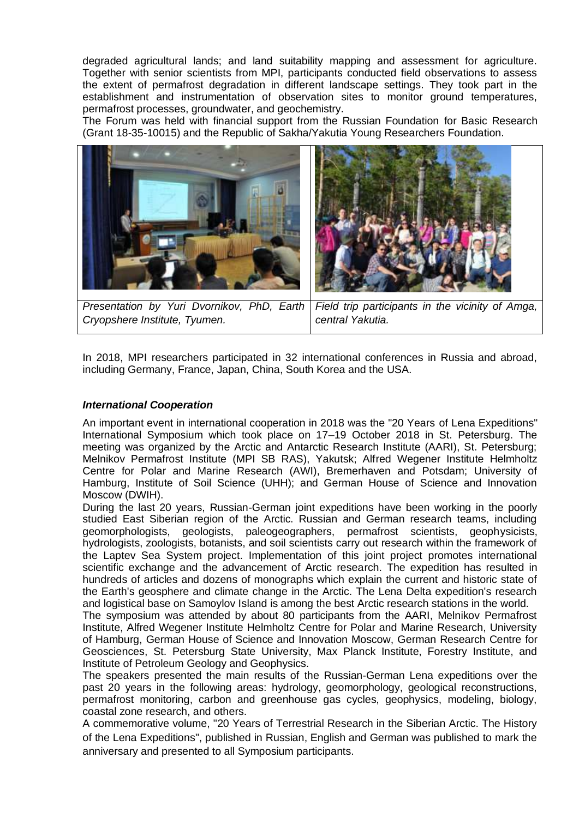degraded agricultural lands; and land suitability mapping and assessment for agriculture. Together with senior scientists from MPI, participants conducted field observations to assess the extent of permafrost degradation in different landscape settings. They took part in the establishment and instrumentation of observation sites to monitor ground temperatures, permafrost processes, groundwater, and geochemistry.

The Forum was held with financial support from the Russian Foundation for Basic Research (Grant 18-35-10015) and the Republic of Sakha/Yakutia Young Researchers Foundation.



*Presentation by Yuri Dvornikov, PhD, Earth Cryopshere Institute, Tyumen. Field trip participants in the vicinity of Amga, central Yakutia.*

In 2018, MPI researchers participated in 32 international conferences in Russia and abroad, including Germany, France, Japan, China, South Korea and the USA.

### *International Cooperation*

An important event in international cooperation in 2018 was the "20 Years of Lena Expeditions" International Symposium which took place on 17–19 October 2018 in St. Petersburg. The meeting was organized by the Arctic and Antarctic Research Institute (AARI), St. Petersburg; Melnikov Permafrost Institute (MPI SB RAS), Yakutsk; Alfred Wegener Institute Helmholtz Centre for Polar and Marine Research (AWI), Bremerhaven and Potsdam; University of Hamburg, Institute of Soil Science (UHH); and German House of Science and Innovation Moscow (DWIH).

During the last 20 years, Russian-German joint expeditions have been working in the poorly studied East Siberian region of the Arctic. Russian and German research teams, including geomorphologists, geologists, paleogeographers, permafrost scientists, geophysicists, hydrologists, zoologists, botanists, and soil scientists carry out research within the framework of the Laptev Sea System project. Implementation of this joint project promotes international scientific exchange and the advancement of Arctic research. The expedition has resulted in hundreds of articles and dozens of monographs which explain the current and historic state of the Earth's geosphere and climate change in the Arctic. The Lena Delta expedition's research and logistical base on Samoylov Island is among the best Arctic research stations in the world.

The symposium was attended by about 80 participants from the AARI, Melnikov Permafrost Institute, Alfred Wegener Institute Helmholtz Centre for Polar and Marine Research, University of Hamburg, German House of Science and Innovation Moscow, German Research Centre for Geosciences, St. Petersburg State University, Max Planck Institute, Forestry Institute, and Institute of Petroleum Geology and Geophysics.

The speakers presented the main results of the Russian-German Lena expeditions over the past 20 years in the following areas: hydrology, geomorphology, geological reconstructions, permafrost monitoring, carbon and greenhouse gas cycles, geophysics, modeling, biology, coastal zone research, and others.

A commemorative volume, "20 Years of Terrestrial Research in the Siberian Arctic. The History of the Lena Expeditions", published in Russian, English and German was published to mark the anniversary and presented to all Symposium participants.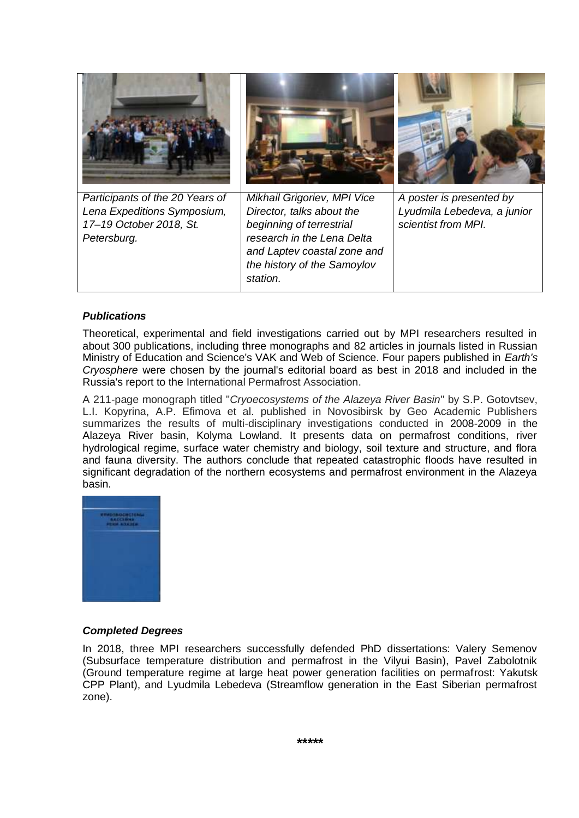| Participants of the 20 Years of<br>Lena Expeditions Symposium,<br>17-19 October 2018, St.<br>Petersburg. | Mikhail Grigoriev, MPI Vice<br>Director, talks about the<br>beginning of terrestrial<br>research in the Lena Delta<br>and Laptev coastal zone and<br>the history of the Samoylov<br>station. | A poster is presented by<br>Lyudmila Lebedeva, a junior<br>scientist from MPI. |
|----------------------------------------------------------------------------------------------------------|----------------------------------------------------------------------------------------------------------------------------------------------------------------------------------------------|--------------------------------------------------------------------------------|

### *Publications*

Theoretical, experimental and field investigations carried out by MPI researchers resulted in about 300 publications, including three monographs and 82 articles in journals listed in Russian Ministry of Education and Science's VAK and Web of Science. Four papers published in *Earth's Cryosphere* were chosen by the journal's editorial board as best in 2018 and included in the Russia's report to the International Permafrost Association.

A 211-page monograph titled "*Cryoecosystems of the Alazeya River Basin*" by S.P. Gotovtsev, L.I. Kopyrina, A.P. Efimova et al. published in Novosibirsk by Geo Academic Publishers summarizes the results of multi-disciplinary investigations conducted in 2008-2009 in the Alazeya River basin, Kolyma Lowland. It presents data on permafrost conditions, river hydrological regime, surface water chemistry and biology, soil texture and structure, and flora and fauna diversity. The authors conclude that repeated catastrophic floods have resulted in significant degradation of the northern ecosystems and permafrost environment in the Alazeya basin.



### *Completed Degrees*

In 2018, three MPI researchers successfully defended PhD dissertations: Valery Semenov (Subsurface temperature distribution and permafrost in the Vilyui Basin), Pavel Zabolotnik (Ground temperature regime at large heat power generation facilities on permafrost: Yakutsk CPP Plant), and Lyudmila Lebedeva (Streamflow generation in the East Siberian permafrost zone).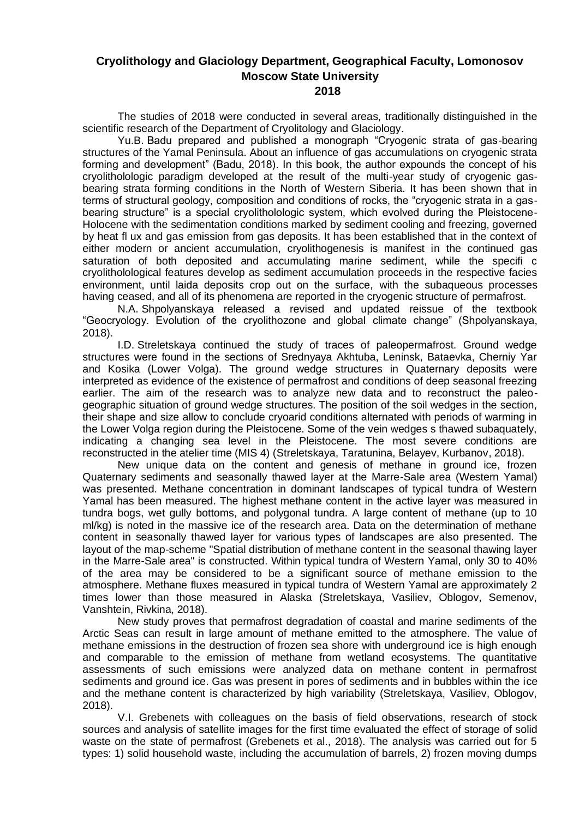# **Cryolithology and Glaciology Department, Geographical Faculty, Lomonosov Moscow State University**

### **2018**

The studies of 2018 were conducted in several areas, traditionally distinguished in the scientific research of the Department of Cryolitology and Glaciology.

Yu.B. Badu prepared and published a monograph "Cryogenic strata of gas-bearing structures of the Yamal Peninsula. About an influence of gas accumulations on cryogenic strata forming and development" (Badu, 2018). In this book, the author expounds the concept of his cryolitholologic paradigm developed at the result of the multi-year study of cryogenic gasbearing strata forming conditions in the North of Western Siberia. It has been shown that in terms of structural geology, composition and conditions of rocks, the "cryogenic strata in a gasbearing structure‖ is a special cryolitholologic system, which evolved during the Pleistocene-Holocene with the sedimentation conditions marked by sediment cooling and freezing, governed by heat fl ux and gas emission from gas deposits. It has been established that in the context of either modern or ancient accumulation, cryolithogenesis is manifest in the continued gas saturation of both deposited and accumulating marine sediment, while the specifi c cryolitholological features develop as sediment accumulation proceeds in the respective facies environment, until laida deposits crop out on the surface, with the subaqueous processes having ceased, and all of its phenomena are reported in the cryogenic structure of permafrost.

N.A. Shpolyanskaya released a revised and updated reissue of the textbook "Geocryology. Evolution of the cryolithozone and global climate change" (Shpolyanskaya, 2018).

I.D. Streletskaya continued the study of traces of paleopermafrost. Ground wedge structures were found in the sections of Srednyaya Akhtuba, Leninsk, Bataevka, Cherniy Yar and Kosika (Lower Volga). The ground wedge structures in Quaternary deposits were interpreted as evidence of the existence of permafrost and conditions of deep seasonal freezing earlier. The aim of the research was to analyze new data and to reconstruct the paleogeographic situation of ground wedge structures. The position of the soil wedges in the section, their shape and size allow to conclude cryoarid conditions alternated with periods of warming in the Lower Volga region during the Pleistocene. Some of the vein wedges s thawed subaquately, indicating a changing sea level in the Pleistocene. The most severe conditions are reconstructed in the atelier time (MIS 4) (Streletskaya, Taratunina, Belayev, Kurbanov, 2018).

New unique data on the content and genesis of methane in ground ice, frozen Quaternary sediments and seasonally thawed layer at the Marre-Sale area (Western Yamal) was presented. Methane concentration in dominant landscapes of typical tundra of Western Yamal has been measured. The highest methane content in the active layer was measured in tundra bogs, wet gully bottoms, and polygonal tundra. A large content of methane (up to 10 ml/kg) is noted in the massive ice of the research area. Data on the determination of methane content in seasonally thawed layer for various types of landscapes are also presented. The layout of the map-scheme "Spatial distribution of methane content in the seasonal thawing layer in the Marre-Sale area" is constructed. Within typical tundra of Western Yamal, only 30 to 40% of the area may be considered to be a significant source of methane emission to the atmosphere. Methane fluxes measured in typical tundra of Western Yamal are approximately 2 times lower than those measured in Alaska (Streletskaya, Vasiliev, Oblogov, Semenov, Vanshtein, Rivkina, 2018).

New study proves that permafrost degradation of coastal and marine sediments of the Arctic Seas can result in large amount of methane emitted to the atmosphere. The value of methane emissions in the destruction of frozen sea shore with underground ice is high enough and comparable to the emission of methane from wetland ecosystems. The quantitative assessments of such emissions were analyzed data on methane content in permafrost sediments and ground ice. Gas was present in pores of sediments and in bubbles within the ice and the methane content is characterized by high variability (Streletskaya, Vasiliev, Oblogov, 2018).

V.I. Grebenets with colleagues on the basis of field observations, research of stock sources and analysis of satellite images for the first time evaluated the effect of storage of solid waste on the state of permafrost (Grebenets et al., 2018). The analysis was carried out for 5 types: 1) solid household waste, including the accumulation of barrels, 2) frozen moving dumps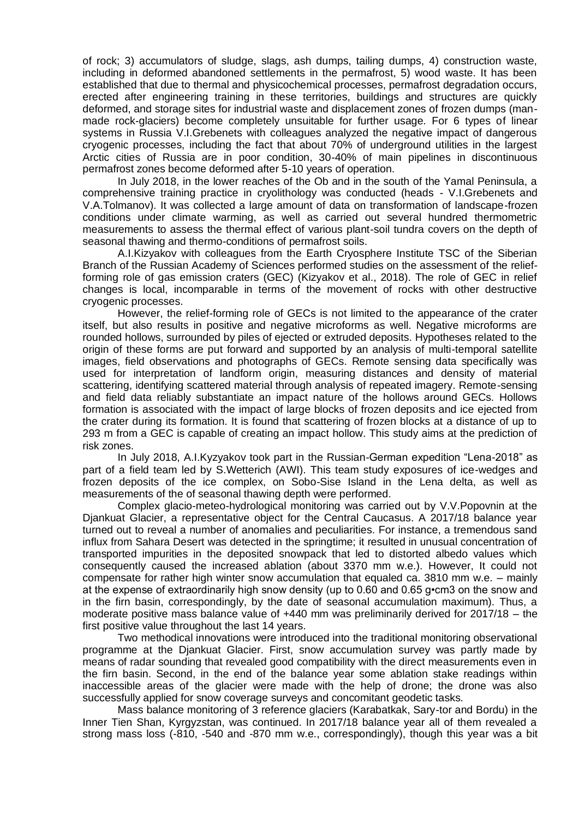of rock; 3) accumulators of sludge, slags, ash dumps, tailing dumps, 4) construction waste, including in deformed abandoned settlements in the permafrost, 5) wood waste. It has been established that due to thermal and physicochemical processes, permafrost degradation occurs, erected after engineering training in these territories, buildings and structures are quickly deformed, and storage sites for industrial waste and displacement zones of frozen dumps (manmade rock-glaciers) become completely unsuitable for further usage. For 6 types of linear systems in Russia V.I.Grebenets with colleagues analyzed the negative impact of dangerous cryogenic processes, including the fact that about 70% of underground utilities in the largest Arctic cities of Russia are in poor condition, 30-40% of main pipelines in discontinuous permafrost zones become deformed after 5-10 years of operation.

In July 2018, in the lower reaches of the Ob and in the south of the Yamal Peninsula, a comprehensive training practice in cryolithology was conducted (heads - V.I.Grebenets and V.A.Tolmanov). It was collected a large amount of data on transformation of landscape-frozen conditions under climate warming, as well as carried out several hundred thermometric measurements to assess the thermal effect of various plant-soil tundra covers on the depth of seasonal thawing and thermo-conditions of permafrost soils.

A.I.Kizyakov with colleagues from the Earth Cryosphere Institute TSC of the Siberian Branch of the Russian Academy of Sciences performed studies on the assessment of the reliefforming role of gas emission craters (GEC) (Kizyakov et al., 2018). The role of GEC in relief changes is local, incomparable in terms of the movement of rocks with other destructive cryogenic processes.

However, the relief-forming role of GECs is not limited to the appearance of the crater itself, but also results in positive and negative microforms as well. Negative microforms are rounded hollows, surrounded by piles of ejected or extruded deposits. Hypotheses related to the origin of these forms are put forward and supported by an analysis of multi-temporal satellite images, field observations and photographs of GECs. Remote sensing data specifically was used for interpretation of landform origin, measuring distances and density of material scattering, identifying scattered material through analysis of repeated imagery. Remote-sensing and field data reliably substantiate an impact nature of the hollows around GECs. Hollows formation is associated with the impact of large blocks of frozen deposits and ice ejected from the crater during its formation. It is found that scattering of frozen blocks at a distance of up to 293 m from a GEC is capable of creating an impact hollow. This study aims at the prediction of risk zones.

In July 2018, A.I.Kyzyakov took part in the Russian-German expedition "Lena-2018" as part of a field team led by S.Wetterich (AWI). This team study exposures of ice-wedges and frozen deposits of the ice complex, on Sobo-Sise Island in the Lena delta, as well as measurements of the of seasonal thawing depth were performed.

Complex glacio-meteo-hydrological monitoring was carried out by V.V.Popovnin at the Djankuat Glacier, a representative object for the Central Caucasus. A 2017/18 balance year turned out to reveal a number of anomalies and peculiarities. For instance, a tremendous sand influx from Sahara Desert was detected in the springtime; it resulted in unusual concentration of transported impurities in the deposited snowpack that led to distorted albedo values which consequently caused the increased ablation (about 3370 mm w.e.). However, It could not compensate for rather high winter snow accumulation that equaled ca. 3810 mm w.e. – mainly at the expense of extraordinarily high snow density (up to 0.60 and 0.65 g•cm3 on the snow and in the firn basin, correspondingly, by the date of seasonal accumulation maximum). Thus, a moderate positive mass balance value of +440 mm was preliminarily derived for 2017/18 – the first positive value throughout the last 14 years.

Two methodical innovations were introduced into the traditional monitoring observational programme at the Djankuat Glacier. First, snow accumulation survey was partly made by means of radar sounding that revealed good compatibility with the direct measurements even in the firn basin. Second, in the end of the balance year some ablation stake readings within inaccessible areas of the glacier were made with the help of drone; the drone was also successfully applied for snow coverage surveys and concomitant geodetic tasks.

Mass balance monitoring of 3 reference glaciers (Karabatkak, Sary-tor and Bordu) in the Inner Tien Shan, Kyrgyzstan, was continued. In 2017/18 balance year all of them revealed a strong mass loss (-810, -540 and -870 mm w.e., correspondingly), though this year was a bit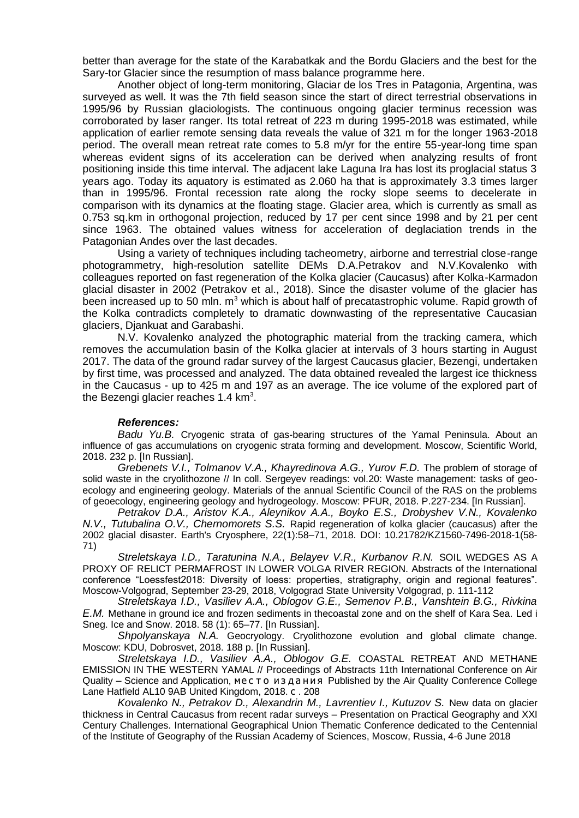better than average for the state of the Karabatkak and the Bordu Glaciers and the best for the Sary-tor Glacier since the resumption of mass balance programme here.

Another object of long-term monitoring, Glaciar de los Tres in Patagonia, Argentina, was surveyed as well. It was the 7th field season since the start of direct terrestrial observations in 1995/96 by Russian glaciologists. The continuous ongoing glacier terminus recession was corroborated by laser ranger. Its total retreat of 223 m during 1995-2018 was estimated, while application of earlier remote sensing data reveals the value of 321 m for the longer 1963-2018 period. The overall mean retreat rate comes to 5.8 m/yr for the entire 55-year-long time span whereas evident signs of its acceleration can be derived when analyzing results of front positioning inside this time interval. The adjacent lake Laguna Ira has lost its proglacial status 3 years ago. Today its aquatory is estimated as 2.060 ha that is approximately 3.3 times larger than in 1995/96. Frontal recession rate along the rocky slope seems to decelerate in comparison with its dynamics at the floating stage. Glacier area, which is currently as small as 0.753 sq.km in orthogonal projection, reduced by 17 per cent since 1998 and by 21 per cent since 1963. The obtained values witness for acceleration of deglaciation trends in the Patagonian Andes over the last decades.

Using a variety of techniques including tacheometry, airborne and terrestrial close-range photogrammetry, high-resolution satellite DEMs D.A.Petrakov and N.V.Kovalenko with colleagues reported on fast regeneration of the Kolka glacier (Caucasus) after Kolka-Karmadon glacial disaster in 2002 (Petrakov et al., 2018). Since the disaster volume of the glacier has been increased up to 50 mln.  $m<sup>3</sup>$  which is about half of precatastrophic volume. Rapid growth of the Kolka contradicts completely to dramatic downwasting of the representative Caucasian glaciers, Djankuat and Garabashi.

N.V. Kovalenko analyzed the photographic material from the tracking camera, which removes the accumulation basin of the Kolka glacier at intervals of 3 hours starting in August 2017. The data of the ground radar survey of the largest Caucasus glacier, Bezengi, undertaken by first time, was processed and analyzed. The data obtained revealed the largest ice thickness in the Caucasus - up to 425 m and 197 as an average. The ice volume of the explored part of the Bezengi glacier reaches 1.4 km $^3\!$ .

#### *References:*

*Badu Yu.B.* Cryogenic strata of gas-bearing structures of the Yamal Peninsula. About an influence of gas accumulations on cryogenic strata forming and development. Moscow, Scientific World, 2018. 232 p. [In Russian].

*Grebenets V.I., Tolmanov V.A., Khayredinova A.G., Yurov F.D.* The problem of storage of solid waste in the cryolithozone // In coll. Sergeyev readings: vol.20: Waste management: tasks of geoecology and engineering geology. Materials of the annual Scientific Council of the RAS on the problems of geoecology, engineering geology and hydrogeology. Moscow: PFUR, 2018. P.227-234. [In Russian].

*Petrakov D.A., Aristov K.A., Aleynikov A.A., Boyko E.S., Drobyshev V.N., Kovalenko N.V., Tutubalina O.V., Chernomorets S.S.* Rapid regeneration of kolka glacier (caucasus) after the 2002 glacial disaster. Earth's Cryosphere, 22(1):58–71, 2018. [DOI:](http://dx.doi.org/10.21782/KZ1560-7496-2018-1(58-71)) 10.21782/KZ1560-7496-2018-1(58- 71)

*Streletskaya I.D., Taratunina N.A., Belayev V.R., Kurbanov R.N.* SOIL WEDGES AS A PROXY OF RELICT PERMAFROST IN LOWER VOLGA RIVER REGION. Abstracts of the International conference "Loessfest2018: Diversity of loess: properties, stratigraphy, origin and regional features". Moscow-Volgograd, September 23-29, 2018, Volgograd State University Volgograd, p. 111-112

*Streletskaya I.D., Vasiliev A.A., Oblogov G.E., Semenov P.B., Vanshtein B.G., Rivkina E.M.* Methane in ground ice and frozen sediments in thecoastal zone and on the shelf of Kara Sea. Led i Sneg. Ice and Snow. 2018. 58 (1): 65–77. [In Russian].

*Shpolyanskaya N.A.* Geocryology. Cryolithozone evolution and global climate change. Moscow: KDU, Dobrosvet, 2018. 188 p. [In Russian].

*Streletskaya I.D., Vasiliev A.A., Oblogov G.E.* COASTAL RETREAT AND METHANE EMISSION IN THE WESTERN YAMAL // Proceedings of Abstracts 11th International Conference on Air Quality – Science and Application, место издания Published by the Air Quality Conference College Lane Hatfield AL10 9AB United Kingdom, 2018. с . 208

*Kovalenko N., Petrakov D., Alexandrin M., Lavrentiev I., Kutuzov S.* New data on glacier thickness in Central Caucasus from recent radar surveys – Presentation on Practical Geography and XXI Century Challenges. International Geographical Union Thematic Conference dedicated to the Centennial of the Institute of Geography of the Russian Academy of Sciences, Moscow, Russia, 4-6 June 2018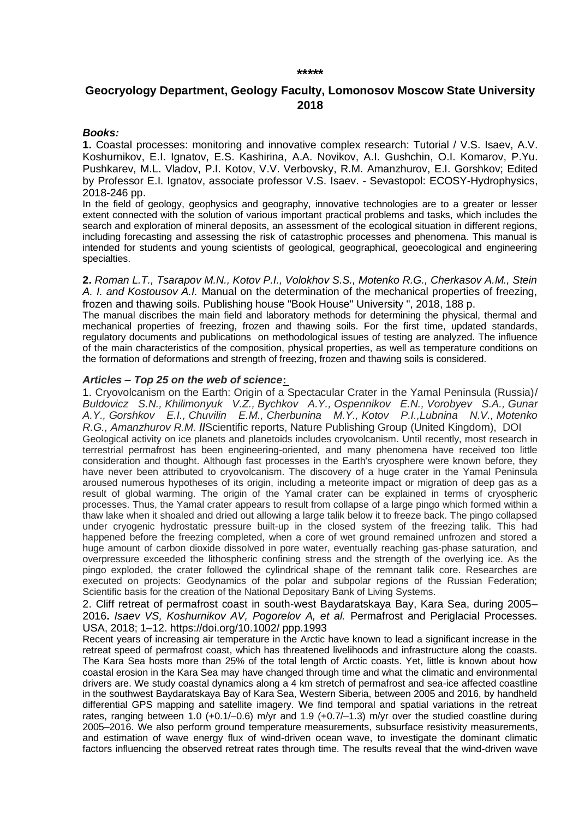#### **\*\*\*\*\***

### **Geocryology Department, Geology Faculty, Lomonosov Moscow State University 2018**

#### *Books:*

**1.** Coastal processes: monitoring and innovative complex research: Tutorial / V.S. Isaev, A.V. Koshurnikov, E.I. Ignatov, E.S. Kashirina, A.A. Novikov, A.I. Gushchin, O.I. Komarov, P.Yu. Pushkarev, M.L. Vladov, P.I. Kotov, V.V. Verbovsky, R.M. Amanzhurov, E.I. Gorshkov; Edited by Professor E.I. Ignatov, associate professor V.S. Isaev. - Sevastopol: ECOSY-Hydrophysics, 2018-246 pp.

In the field of geology, geophysics and geography, innovative technologies are to a greater or lesser extent connected with the solution of various important practical problems and tasks, which includes the search and exploration of mineral deposits, an assessment of the ecological situation in different regions, including forecasting and assessing the risk of catastrophic processes and phenomena. This manual is intended for students and young scientists of geological, geographical, geoecological and engineering specialties.

**2.** *Roman L.T., Tsarapov M.N., Kotov P.I., Volokhov S.S., Motenko R.G., Cherkasov A.M., Stein A. I. and Kostousov A.I.* Manual on the determination of the mechanical properties of freezing, frozen and thawing soils. Publishing house "Book House" University ", 2018, 188 p.

The manual discribes the main field and laboratory methods for determining the physical, thermal and mechanical properties of freezing, frozen and thawing soils. For the first time, updated standards, regulatory documents and publications on methodological issues of testing are analyzed. The influence of the main characteristics of the composition, physical properties, as well as temperature conditions on the formation of deformations and strength of freezing, frozen and thawing soils is considered.

#### *Articles – Top 25 on the web of science***:**

1. [Cryovolcanism on the Earth: Origin of a Spectacular Crater in the Yamal Peninsula \(Russia\)/](https://istina.msu.ru/publications/article/72851933/) *[Buldovicz S.N.,](https://istina.msu.ru/workers/553929/) [Khilimonyuk V.Z.,](https://istina.msu.ru/workers/1159508/) [Bychkov A.Y.,](https://istina.msu.ru/workers/387430/) [Ospennikov E.N.,](https://istina.msu.ru/workers/1669782/) [Vorobyev S.A.,](https://istina.msu.ru/workers/1115487/) [Gunar](https://istina.msu.ru/workers/11970692/)  [A.Y.,](https://istina.msu.ru/workers/11970692/) [Gorshkov E.I.,](https://istina.msu.ru/workers/142637692/) [Chuvilin E.M.,](https://istina.msu.ru/workers/491357/) [Cherbunina M.Y.,](https://istina.msu.ru/workers/7576084/) [Kotov P.I.](https://istina.msu.ru/workers/6038433/)[,Lubnina N.V.,](https://istina.msu.ru/workers/1083557/) [Motenko](https://istina.msu.ru/workers/407422/)  [R.G.,](https://istina.msu.ru/workers/407422/) [Amanzhurov R.M.](https://istina.msu.ru/workers/35430491/)* **//**[Scientific reports,](https://istina.msu.ru/journals/279130/) [Nature Publishing Group](https://istina.msu.ru/publishers/55586/) (United Kingdom), [DOI](http://dx.doi.org/10.1038/s41598-018-31858-9) Geological activity on ice planets and planetoids includes cryovolcanism. Until recently, most research in terrestrial permafrost has been engineering-oriented, and many phenomena have received too little consideration and thought. Although fast processes in the Earth's cryosphere were known before, they have never been attributed to cryovolcanism. The discovery of a huge crater in the Yamal Peninsula aroused numerous hypotheses of its origin, including a meteorite impact or migration of deep gas as a result of global warming. The origin of the Yamal crater can be explained in terms of cryospheric processes. Thus, the Yamal crater appears to result from collapse of a large pingo which formed within a thaw lake when it shoaled and dried out allowing a large talik below it to freeze back. The pingo collapsed under cryogenic hydrostatic pressure built-up in the closed system of the freezing talik. This had happened before the freezing completed, when a core of wet ground remained unfrozen and stored a huge amount of carbon dioxide dissolved in pore water, eventually reaching gas-phase saturation, and overpressure exceeded the lithospheric confining stress and the strength of the overlying ice. As the pingo exploded, the crater followed the cylindrical shape of the remnant talik core. Researches are executed on projects: Geodynamics of the polar and subpolar regions of the Russian Federation; Scientific basis for the creation of the National Depositary Bank of Living Systems.

2. Cliff retreat of permafrost coast in south‐west Baydaratskaya Bay, Kara Sea, during 2005– 2016**.** *Isaev VS, Koshurnikov AV, Pogorelov A, et al.* Permafrost and Periglacial Processes. USA, 2018; 1–12. https://doi.org/10.1002/ ppp.1993

Recent years of increasing air temperature in the Arctic have known to lead a significant increase in the retreat speed of permafrost coast, which has threatened livelihoods and infrastructure along the coasts. The Kara Sea hosts more than 25% of the total length of Arctic coasts. Yet, little is known about how coastal erosion in the Kara Sea may have changed through time and what the climatic and environmental drivers are. We study coastal dynamics along a 4 km stretch of permafrost and sea-ice affected coastline in the southwest Baydaratskaya Bay of Kara Sea, Western Siberia, between 2005 and 2016, by handheld differential GPS mapping and satellite imagery. We find temporal and spatial variations in the retreat rates, ranging between 1.0 (+0.1/–0.6) m/yr and 1.9 (+0.7/–1.3) m/yr over the studied coastline during 2005–2016. We also perform ground temperature measurements, subsurface resistivity measurements, and estimation of wave energy flux of wind-driven ocean wave, to investigate the dominant climatic factors influencing the observed retreat rates through time. The results reveal that the wind-driven wave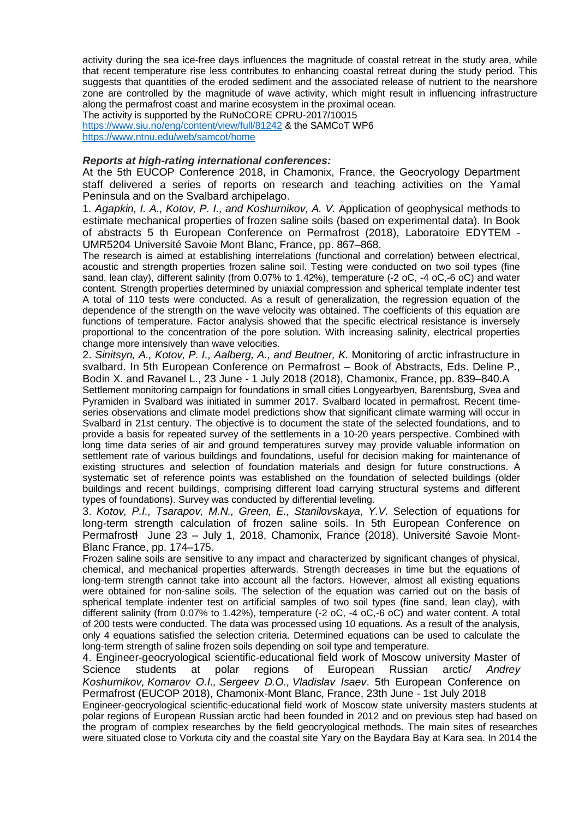activity during the sea ice-free days influences the magnitude of coastal retreat in the study area, while that recent temperature rise less contributes to enhancing coastal retreat during the study period. This suggests that quantities of the eroded sediment and the associated release of nutrient to the nearshore zone are controlled by the magnitude of wave activity, which might result in influencing infrastructure along the permafrost coast and marine ecosystem in the proximal ocean.

The activity is supported by the RuNoCORE CPRU-2017/10015 <https://www.siu.no/eng/content/view/full/81242> & the SAMCoT WP6 <https://www.ntnu.edu/web/samcot/home>

#### *Reports at high-rating international conferences:*

At the 5th EUCOP Conference 2018, in Chamonix, France, the Geocryology Department staff delivered a series of reports on research and teaching activities on the Yamal Peninsula and on the Svalbard archipelago.

1*. Agapkin, I. A., Kotov, P. I., and Koshurnikov, A. V.* Application of geophysical methods to estimate mechanical properties of frozen saline soils (based on experimental data). In Book of abstracts 5 th European Conference on Permafrost (2018), Laboratoire EDYTEM - UMR5204 Université Savoie Mont Blanc, France, pp. 867–868.

The research is aimed at establishing interrelations (functional and correlation) between electrical, acoustic and strength properties frozen saline soil. Testing were conducted on two soil types (fine sand, lean clay), different salinity (from 0.07% to 1.42%), temperature (-2 oC, -4 oC,-6 oC) and water content. Strength properties determined by uniaxial compression and spherical template indenter test A total of 110 tests were conducted. As a result of generalization, the regression equation of the dependence of the strength on the wave velocity was obtained. The coefficients of this equation are functions of temperature. Factor analysis showed that the specific electrical resistance is inversely proportional to the concentration of the pore solution. With increasing salinity, electrical properties change more intensively than wave velocities.

2. *Sinitsyn, A., Kotov, P. I., Aalberg, A., and Beutner, K.* Monitoring of arctic infrastructure in svalbard. In 5th European Conference on Permafrost – Book of Abstracts, Eds. Deline P., Bodin X. and Ravanel L., 23 June - 1 July 2018 (2018), Chamonix, France, pp. 839–840.A

Settlement monitoring campaign for foundations in small cities Longyearbyen, Barentsburg, Svea and Pyramiden in Svalbard was initiated in summer 2017. Svalbard located in permafrost. Recent timeseries observations and climate model predictions show that significant climate warming will occur in Svalbard in 21st century. The objective is to document the state of the selected foundations, and to provide a basis for repeated survey of the settlements in a 10-20 years perspective. Combined with long time data series of air and ground temperatures survey may provide valuable information on settlement rate of various buildings and foundations, useful for decision making for maintenance of existing structures and selection of foundation materials and design for future constructions. A systematic set of reference points was established on the foundation of selected buildings (older buildings and recent buildings, comprising different load carrying structural systems and different types of foundations). Survey was conducted by differential leveling.

3. *Kotov, P.I., Tsarapov, M.N., Green, E., Stanilovskaya, Y.V.* Selection of equations for long-term strength calculation of frozen saline soils. In 5th European Conference on Permafrostɬ June 23 – July 1, 2018, Chamonix, France (2018), Université Savoie Mont-Blanc France, pp. 174–175.

Frozen saline soils are sensitive to any impact and characterized by significant changes of physical, chemical, and mechanical properties afterwards. Strength decreases in time but the equations of long-term strength cannot take into account all the factors. However, almost all existing equations were obtained for non-saline soils. The selection of the equation was carried out on the basis of spherical template indenter test on artificial samples of two soil types (fine sand, lean clay), with different salinity (from 0.07% to 1.42%), temperature (-2 oC, -4 oC,-6 oC) and water content. A total of 200 tests were conducted. The data was processed using 10 equations. As a result of the analysis, only 4 equations satisfied the selection criteria. Determined equations can be used to calculate the long-term strength of saline frozen soils depending on soil type and temperature.

4. [Engineer-geocryological](https://istina.msu.ru/conferences/presentations/148632036/) scientific-educational field work of Moscow university Master of Science students at polar regions of [European](https://istina.msu.ru/conferences/presentations/148632036/) Russian arctic/ *[Andrey](https://istina.msu.ru/workers/837548/) [Koshurnikov,](https://istina.msu.ru/workers/837548/) [Komarov](https://istina.msu.ru/workers/45677973/) O.I., [Sergeev](https://istina.msu.ru/workers/2169529/) D.O., [Vladislav](https://istina.msu.ru/workers/1428737/) Isaev*. 5th European [Conference](https://istina.msu.ru/conferences/111003189/) on Permafrost (EUCOP 2018), [Chamonix-Mont](https://istina.msu.ru/conferences/111003189/) Blanc, France, 23th June - 1st July 2018

Engineer-geocryological scientific-educational field work of Moscow state university masters students at polar regions of European Russian arctic had been founded in 2012 and on previous step had based on the program of complex researches by the field geocryological methods. The main sites of researches were situated close to Vorkuta city and the coastal site Yary on the Baydara Bay at Kara sea. In 2014 the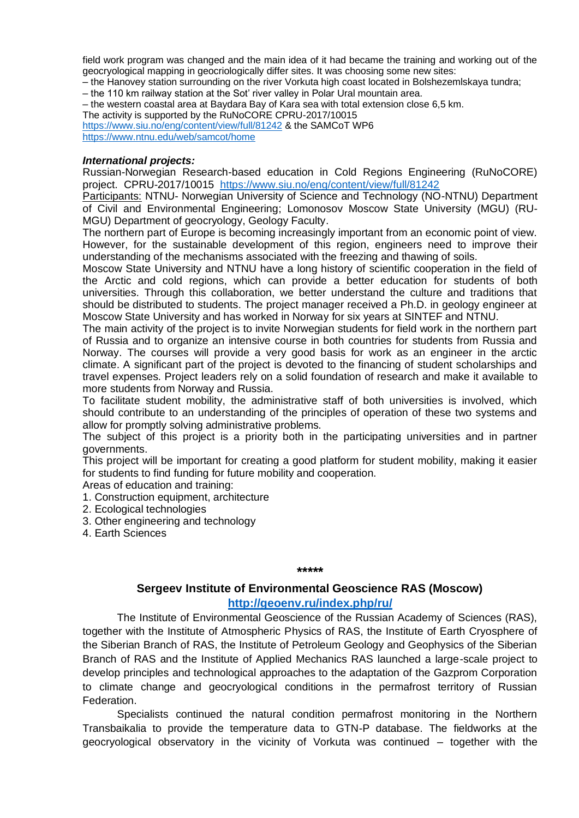field work program was changed and the main idea of it had became the training and working out of the geocryological mapping in geocriologically differ sites. It was choosing some new sites:

– the Hanovey station surrounding on the river Vorkuta high coast located in Bolshezemlskaya tundra;

– the 110 km railway station at the Sot' river valley in Polar Ural mountain area.

– the western coastal area at Baydara Bay of Kara sea with total extension close 6,5 km.

The activity is supported by the RuNoCORE CPRU-2017/10015 <https://www.siu.no/eng/content/view/full/81242> & the SAMCoT WP6

<https://www.ntnu.edu/web/samcot/home>

### *International projects:*

Russian-Norwegian Research-based education in Cold Regions Engineering (RuNoCORE) project. CPRU-2017/10015 <https://www.siu.no/eng/content/view/full/81242>

Participants: NTNU- Norwegian University of Science and Technology (NO-NTNU) Department of Civil and Environmental Engineering; Lomonosov Moscow State University (MGU) (RU-MGU) Department of geocryology, Geology Faculty.

The northern part of Europe is becoming increasingly important from an economic point of view. However, for the sustainable development of this region, engineers need to improve their understanding of the mechanisms associated with the freezing and thawing of soils.

Moscow State University and NTNU have a long history of scientific cooperation in the field of the Arctic and cold regions, which can provide a better education for students of both universities. Through this collaboration, we better understand the culture and traditions that should be distributed to students. The project manager received a Ph.D. in geology engineer at Moscow State University and has worked in Norway for six years at SINTEF and NTNU.

The main activity of the project is to invite Norwegian students for field work in the northern part of Russia and to organize an intensive course in both countries for students from Russia and Norway. The courses will provide a very good basis for work as an engineer in the arctic climate. A significant part of the project is devoted to the financing of student scholarships and travel expenses. Project leaders rely on a solid foundation of research and make it available to more students from Norway and Russia.

To facilitate student mobility, the administrative staff of both universities is involved, which should contribute to an understanding of the principles of operation of these two systems and allow for promptly solving administrative problems.

The subject of this project is a priority both in the participating universities and in partner governments.

This project will be important for creating a good platform for student mobility, making it easier for students to find funding for future mobility and cooperation.

Areas of education and training:

1. Construction equipment, architecture

2. Ecological technologies

3. Other engineering and technology

4. Earth Sciences

#### **\*\*\*\*\***

### **Sergeev Institute of Environmental Geoscience RAS (Moscow)**

### **<http://geoenv.ru/index.php/ru/>**

The Institute of Environmental Geoscience of the Russian Academy of Sciences (RAS), together with the Institute of Atmospheric Physics of RAS, the Institute of Earth Cryosphere of the Siberian Branch of RAS, the Institute of Petroleum Geology and Geophysics of the Siberian Branch of RAS and the Institute of Applied Mechanics RAS launched a large-scale project to develop principles and technological approaches to the adaptation of the Gazprom Corporation to climate change and geocryological conditions in the permafrost territory of Russian Federation.

Specialists continued the natural condition permafrost monitoring in the Northern Transbaikalia to provide the temperature data to GTN-P database. The fieldworks at the geocryological observatory in the vicinity of Vorkuta was continued – together with the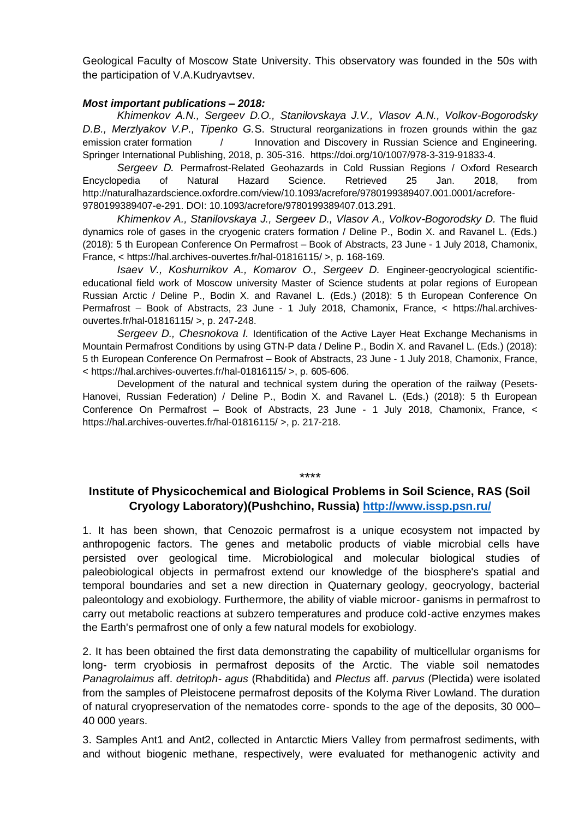Geological Faculty of Moscow State University. This observatory was founded in the 50s with the participation of V.A.Kudryavtsev.

### *Most important publications – 2018:*

*Khimenkov A.N., Sergeev D.O., Stanilovskaya J.V., Vlasov A.N., Volkov-Bogorodsky D.B., Merzlyakov V.P., Tipenko G.*S. Structural reorganizations in frozen grounds within the gaz emission crater formation  $/$  Innovation and Discovery in Russian Science and Engineering. Springer International Publishing, 2018, p. 305-316. https://doi.org/10/1007/978-3-319-91833-4.

*Sergeev D.* Permafrost-Related Geohazards in Cold Russian Regions / Oxford Research Encyclopedia of Natural Hazard Science. Retrieved 25 Jan. 2018, from http://naturalhazardscience.oxfordre.com/view/10.1093/acrefore/9780199389407.001.0001/acrefore-9780199389407-e-291. DOI: 10.1093/acrefore/9780199389407.013.291.

*Khimenkov A., Stanilovskaya J., Sergeev D., Vlasov A., Volkov-Bogorodsky D.* The fluid dynamics role of gases in the cryogenic craters formation / Deline P., Bodin X. and Ravanel L. (Eds.) (2018): 5 th European Conference On Permafrost – Book of Abstracts, 23 June - 1 July 2018, Chamonix, France, < https://hal.archives-ouvertes.fr/hal-01816115/ >, p. 168-169.

*Isaev V., Koshurnikov A., Komarov O., Sergeev D.* Engineer-geocryological scientificeducational field work of Moscow university Master of Science students at polar regions of European Russian Arctic / Deline P., Bodin X. and Ravanel L. (Eds.) (2018): 5 th European Conference On Permafrost – Book of Abstracts, 23 June - 1 July 2018, Chamonix, France, < https://hal.archivesouvertes.fr/hal-01816115/ >, p. 247-248.

*Sergeev D., Chesnokova I.* Identification of the Active Layer Heat Exchange Mechanisms in Mountain Permafrost Conditions by using GTN-P data / Deline P., Bodin X. and Ravanel L. (Eds.) (2018): 5 th European Conference On Permafrost – Book of Abstracts, 23 June - 1 July 2018, Chamonix, France, < https://hal.archives-ouvertes.fr/hal-01816115/ >, p. 605-606.

Development of the natural and technical system during the operation of the railway (Pesets-Hanovei, Russian Federation) / Deline P., Bodin X. and Ravanel L. (Eds.) (2018): 5 th European Conference On Permafrost – Book of Abstracts, 23 June - 1 July 2018, Chamonix, France, < https://hal.archives-ouvertes.fr/hal-01816115/ >, p. 217-218.

\*\*\*\*

### **Institute of Physicochemical and Biological Problems in Soil Science, RAS (Soil Cryology Laboratory)(Pushchino, Russia) <http://www.issp.psn.ru/>**

1. It has been shown, that Cenozoic permafrost is a unique ecosystem not impacted by anthropogenic factors. The genes and metabolic products of viable microbial cells have persisted over geological time. Microbiological and molecular biological studies of paleobiological objects in permafrost extend our knowledge of the biosphere's spatial and temporal boundaries and set a new direction in Quaternary geology, geocryology, bacterial paleontology and exobiology. Furthermore, the ability of viable microor- ganisms in permafrost to carry out metabolic reactions at subzero temperatures and produce cold‐active enzymes makes the Earth's permafrost one of only a few natural models for exobiology.

2. It has been obtained the first data demonstrating the capability of multicellular organisms for long- term cryobiosis in permafrost deposits of the Arctic. The viable soil nematodes *Panagrolaimus* aff. *detritoph- agus* (Rhabditida) and *Plectus* aff. *parvus* (Plectida) were isolated from the samples of Pleistocene permafrost deposits of the Kolyma River Lowland. The duration of natural cryopreservation of the nematodes corre- sponds to the age of the deposits, 30 000– 40 000 years.

3. Samples Ant1 and Ant2, collected in Antarctic Miers Valley from permafrost sediments, with and without biogenic methane, respectively, were evaluated for methanogenic activity and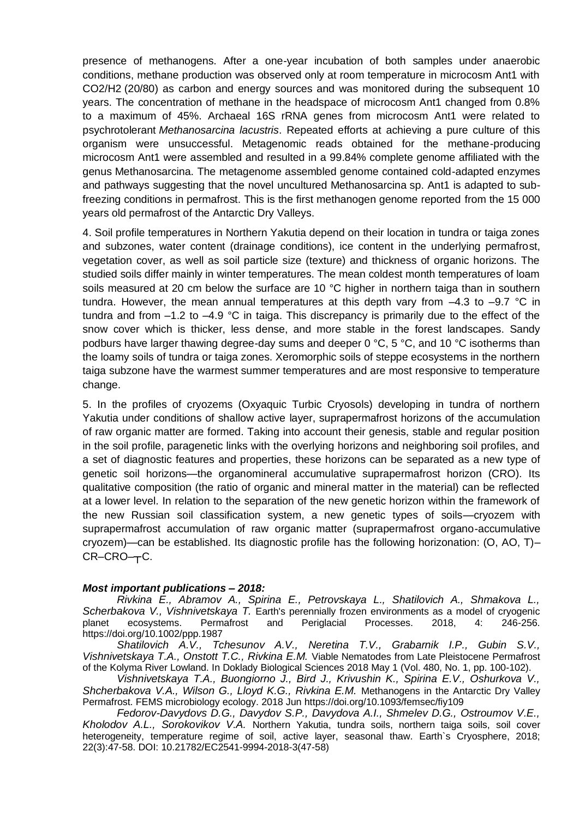presence of methanogens. After a one-year incubation of both samples under anaerobic conditions, methane production was observed only at room temperature in microcosm Ant1 with CO2/H2 (20/80) as carbon and energy sources and was monitored during the subsequent 10 years. The concentration of methane in the headspace of microcosm Ant1 changed from 0.8% to a maximum of 45%. Archaeal 16S rRNA genes from microcosm Ant1 were related to psychrotolerant *Methanosarcina lacustris*. Repeated efforts at achieving a pure culture of this organism were unsuccessful. Metagenomic reads obtained for the methane-producing microcosm Ant1 were assembled and resulted in a 99.84% complete genome affiliated with the genus Methanosarcina. The metagenome assembled genome contained cold-adapted enzymes and pathways suggesting that the novel uncultured Methanosarcina sp. Ant1 is adapted to subfreezing conditions in permafrost. This is the first methanogen genome reported from the 15 000 years old permafrost of the Antarctic Dry Valleys.

4. Soil profile temperatures in Northern Yakutia depend on their location in tundra or taiga zones and subzones, water content (drainage conditions), ice content in the underlying permafrost, vegetation cover, as well as soil particle size (texture) and thickness of organic horizons. The studied soils differ mainly in winter temperatures. The mean coldest month temperatures of loam soils measured at 20 cm below the surface are 10 °C higher in northern taiga than in southern tundra. However, the mean annual temperatures at this depth vary from  $-4.3$  to  $-9.7$  °C in tundra and from  $-1.2$  to  $-4.9$  °C in taiga. This discrepancy is primarily due to the effect of the snow cover which is thicker, less dense, and more stable in the forest landscapes. Sandy podburs have larger thawing degree-day sums and deeper 0 °C, 5 °C, and 10 °C isotherms than the loamy soils of tundra or taiga zones. Xeromorphic soils of steppe ecosystems in the northern taiga subzone have the warmest summer temperatures and are most responsive to temperature change.

5. In the profiles of cryozems (Oxyaquic Turbic Cryosols) developing in tundra of northern Yakutia under conditions of shallow active layer, suprapermafrost horizons of the accumulation of raw organic matter are formed. Taking into account their genesis, stable and regular position in the soil profile, paragenetic links with the overlying horizons and neighboring soil profiles, and a set of diagnostic features and properties, these horizons can be separated as a new type of genetic soil horizons—the organomineral accumulative suprapermafrost horizon (CRO). Its qualitative composition (the ratio of organic and mineral matter in the material) can be reflected at a lower level. In relation to the separation of the new genetic horizon within the framework of the new Russian soil classification system, a new genetic types of soils—cryozem with suprapermafrost accumulation of raw organic matter (suprapermafrost organo-accumulative cryozem)—can be established. Its diagnostic profile has the following horizonation: (O, AO, T)–  $CR-CRO-\n<sub>T</sub>C.$ 

### *Most important publications – 2018:*

*Rivkina E., Abramov A., Spirina E., Petrovskaya L., Shatilovich A., Shmakova L., Scherbakova V., Vishnivetskaya T.* Earth's perennially frozen environments as a model of cryogenic planet ecosystems. Permafrost and Periglacial Processes. 2018. 4: <https://doi.org/10.1002/ppp.1987>

*Shatilovich A.V., Tchesunov A.V., Neretina T.V., Grabarnik I.P., Gubin S.V., Vishnivetskaya T.A., Onstott T.C., Rivkina E.M.* Viable Nematodes from Late Pleistocene Permafrost of the Kolyma River Lowland. In Doklady Biological Sciences 2018 May 1 (Vol. 480, No. 1, pp. 100-102).

*Vishnivetskaya T.A., Buongiorno J., Bird J., Krivushin K., Spirina E.V., Oshurkova V., Shcherbakova V.A., Wilson G., Lloyd K.G., Rivkina E.M.* Methanogens in the Antarctic Dry Valley Permafrost. FEMS microbiology ecology. 2018 Jun<https://doi.org/10.1093/femsec/fiy109>

*Kholodov A.L., Sorokovikov V.A.* Northern Yakutia, tundra soils, northern taiga soils, soil cover heterogeneity, temperature regime of soil, active layer, seasonal thaw. Earth`s Cryosphere, 2018; 22(3):47-58. DOI: [10.21782/EC2541-9994-2018-3\(47-58\)](http://dx.doi.org/10.21782/EC2541-9994-2018-3(47-58))

*Fedorov-Davydovs D.G., Davydov S.P., Davydova A.I., Shmelev D.G., Ostroumov V.E.,*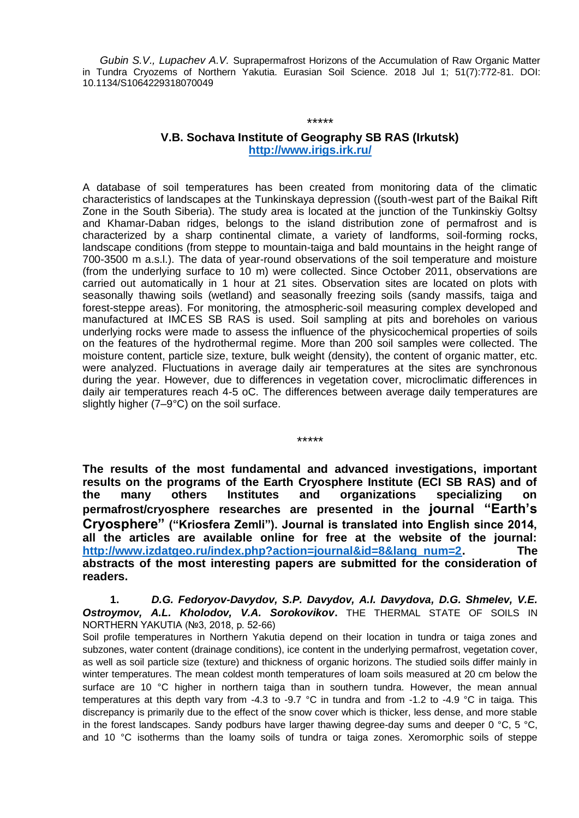*Gubin S.V., Lupachev A.V.* Suprapermafrost Horizons of the Accumulation of Raw Organic Matter in Tundra Cryozems of Northern Yakutia. Eurasian Soil Science. 2018 Jul 1; 51(7):772-81. DOI: 10.1134/S1064229318070049

## **V.B. Sochava Institute of Geography SB RAS (Irkutsk) <http://www.irigs.irk.ru/>**

\*\*\*\*\*

A database of soil temperatures has been created from monitoring data of the climatic characteristics of landscapes at the Tunkinskaya depression ((south-west part of the Baikal Rift Zone in the South Siberia). The study area is located at the junction of the Tunkinskiy Goltsy and Khamar-Daban ridges, belongs to the island distribution zone of permafrost and is characterized by a sharp continental climate, a variety of landforms, soil-forming rocks, landscape conditions (from steppe to mountain-taiga and bald mountains in the height range of 700-3500 m a.s.l.). The data of year-round observations of the soil temperature and moisture (from the underlying surface to 10 m) were collected. Since October 2011, observations are carried out automatically in 1 hour at 21 sites. Observation sites are located on plots with seasonally thawing soils (wetland) and seasonally freezing soils (sandy massifs, taiga and forest-steppe areas). For monitoring, the atmospheric-soil measuring complex developed and manufactured at IMСES SB RAS is used. Soil sampling at pits and boreholes on various underlying rocks were made to assess the influence of the physicochemical properties of soils on the features of the hydrothermal regime. More than 200 soil samples were collected. The moisture content, particle size, texture, bulk weight (density), the content of organic matter, etc. were analyzed. Fluctuations in average daily air temperatures at the sites are synchronous during the year. However, due to differences in vegetation cover, microclimatic differences in daily air temperatures reach 4-5 oC. The differences between average daily temperatures are slightly higher (7–9°C) on the soil surface.

\*\*\*\*\*

**The results of the most fundamental and advanced investigations, important results on the programs of the Earth Cryosphere Institute (ECI SB RAS) and of the many others Institutes and organizations specializing on permafrost/cryosphere researches are presented in the journal "Earth's Cryosphere" ("Kriosfera Zemli"). Journal is translated into English since 2014, all the articles are available online for free at the website of the journal: [http://www.izdatgeo.ru/index.php?action=journal&id=8&lang\\_num=2.](https://clck.yandex.ru/redir/nWO_r1F33ck?data=NnBZTWRhdFZKOHQxUjhzSWFYVGhXVzNvd28wTTV2eFNONnVjck53akx1b2tSdXlGTHROSGhLUkFlVlBCQy1TcXBWdzJQMDhXVm1tZXE0ZGJkM2dsRWdDcGUyVWRKSVdkc0ZLZjEzcEFiLWZjbnBMMVdTQzJHOTdxOTQ4ZUVNdmlNbUNVTFNUM3BlNEhPWUpXM1RzcGxWV0RjTXJpLXAwS1pXUF9kZjl0ZGVNODg2MkkzSDFlcGc&b64e=2&sign=be7a25065d87f1a267eeba3899b33e1d&keyno=17) The abstracts of the most interesting papers are submitted for the consideration of readers.**

**1.** *D.G. Fedoryov-Davydov, S.P. Davydov, A.I. Davydova, D.G. Shmelev, V.E.*  **Ostroymov, A.L. Kholodov, V.A. Sorokovikov.** THE THERMAL STATE OF SOILS IN NORTHERN YAKUTIA (№3, 2018, p. 52-66)

Soil profile temperatures in Northern Yakutia depend on their location in tundra or taiga zones and subzones, water content (drainage conditions), ice content in the underlying permafrost, vegetation cover, as well as soil particle size (texture) and thickness of organic horizons. The studied soils differ mainly in winter temperatures. The mean coldest month temperatures of loam soils measured at 20 cm below the surface are 10 °C higher in northern taiga than in southern tundra. However, the mean annual temperatures at this depth vary from -4.3 to -9.7 °C in tundra and from -1.2 to -4.9 °C in taiga. This discrepancy is primarily due to the effect of the snow cover which is thicker, less dense, and more stable in the forest landscapes. Sandy podburs have larger thawing degree-day sums and deeper 0 °C, 5 °C, and 10 °C isotherms than the loamy soils of tundra or taiga zones. Xeromorphic soils of steppe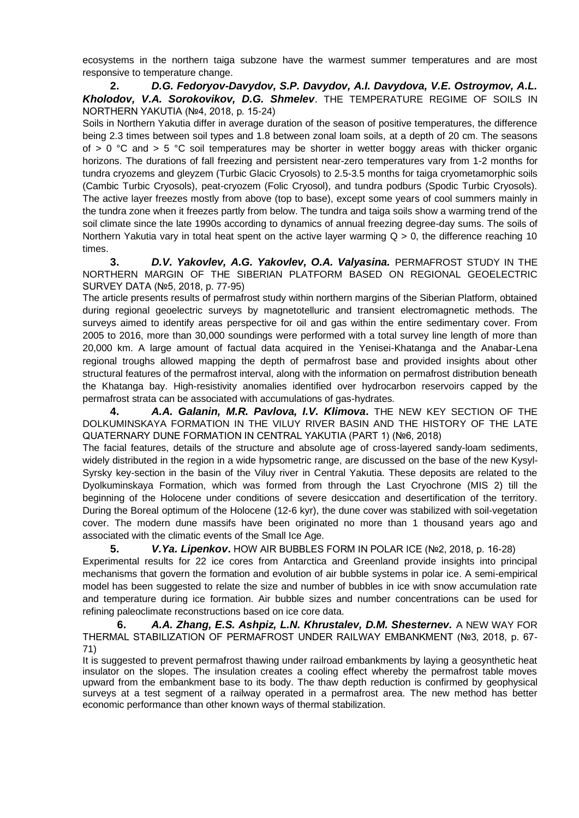ecosystems in the northern taiga subzone have the warmest summer temperatures and are most responsive to temperature change.

**2.** *D.G. Fedoryov-Davydov, S.P. Davydov, A.I. Davydova, V.E. Ostroymov, A.L. Kholodov, V.A. Sorokovikov, D.G. Shmelev*. THE TEMPERATURE REGIME OF SOILS IN NORTHERN YAKUTIA (№4, 2018, p. 15-24)

Soils in Northern Yakutia differ in average duration of the season of positive temperatures, the difference being 2.3 times between soil types and 1.8 between zonal loam soils, at a depth of 20 cm. The seasons of  $> 0$  °C and  $> 5$  °C soil temperatures may be shorter in wetter boggy areas with thicker organic horizons. The durations of fall freezing and persistent near-zero temperatures vary from 1-2 months for tundra cryozems and gleyzem (Turbic Glacic Cryosols) to 2.5-3.5 months for taiga cryometamorphic soils (Cambic Turbic Cryosols), peat-cryozem (Folic Cryosol), and tundra podburs (Spodic Turbic Cryosols). The active layer freezes mostly from above (top to base), except some years of cool summers mainly in the tundra zone when it freezes partly from below. The tundra and taiga soils show a warming trend of the soil climate since the late 1990s according to dynamics of annual freezing degree-day sums. The soils of Northern Yakutia vary in total heat spent on the active layer warming  $Q > 0$ , the difference reaching 10 times.

**3.** *D.V. Yakovlev, A.G. Yakovlev, O.A. Valyasina.* PERMAFROST STUDY IN THE NORTHERN MARGIN OF THE SIBERIAN PLATFORM BASED ON REGIONAL GEOELECTRIC SURVEY DATA (№5, 2018, p. 77-95)

The article presents results of permafrost study within northern margins of the Siberian Platform, obtained during regional geoelectric surveys by magnetotelluric and transient electromagnetic methods. The surveys aimed to identify areas perspective for oil and gas within the entire sedimentary cover. From 2005 to 2016, more than 30,000 soundings were performed with a total survey line length of more than 20,000 km. A large amount of factual data acquired in the Yenisei-Khatanga and the Anabar-Lena regional troughs allowed mapping the depth of permafrost base and provided insights about other structural features of the permafrost interval, along with the information on permafrost distribution beneath the Khatanga bay. High-resistivity anomalies identified over hydrocarbon reservoirs capped by the permafrost strata can be associated with accumulations of gas-hydrates.

**4.** *A.A. Galanin, M.R. Pavlova, I.V. Klimova***.** THE NEW KEY SECTION OF THE DOLKUMINSKAYA FORMATION IN THE VILUY RIVER BASIN AND THE HISTORY OF THE LATE QUATERNARY DUNE FORMATION IN CENTRAL YAKUTIA (PART 1) (№6, 2018)

The facial features, details of the structure and absolute age of cross-layered sandy-loam sediments, widely distributed in the region in a wide hypsometric range, are discussed on the base of the new Kysyl-Syrsky key-section in the basin of the Viluy river in Central Yakutia. These deposits are related to the Dyolkuminskaya Formation, which was formed from through the Last Cryochrone (MIS 2) till the beginning of the Holocene under conditions of severe desiccation and desertification of the territory. During the Boreal optimum of the Holocene (12-6 kyr), the dune cover was stabilized with soil-vegetation cover. The modern dune massifs have been originated no more than 1 thousand years ago and associated with the climatic events of the Small Ice Age.

**5.** *V.Ya. Lipenkov***.** HOW AIR BUBBLES FORM IN POLAR ICE (№2, 2018, p. 16-28) Experimental results for 22 ice cores from Antarctica and Greenland provide insights into principal mechanisms that govern the formation and evolution of air bubble systems in polar ice. A semi-empirical model has been suggested to relate the size and number of bubbles in ice with snow accumulation rate and temperature during ice formation. Air bubble sizes and number concentrations can be used for refining paleoclimate reconstructions based on ice core data.

**6.** *A.A. Zhang, E.S. Ashpiz, L.N. Khrustalev, D.M. Shesternev.* A NEW WAY FOR THERMAL STABILIZATION OF PERMAFROST UNDER RAILWAY EMBANKMENT (№3, 2018, p. 67- 71)

It is suggested to prevent permafrost thawing under railroad embankments by laying a geosynthetic heat insulator on the slopes. The insulation creates a cooling effect whereby the permafrost table moves upward from the embankment base to its body. The thaw depth reduction is confirmed by geophysical surveys at a test segment of a railway operated in a permafrost area. The new method has better economic performance than other known ways of thermal stabilization.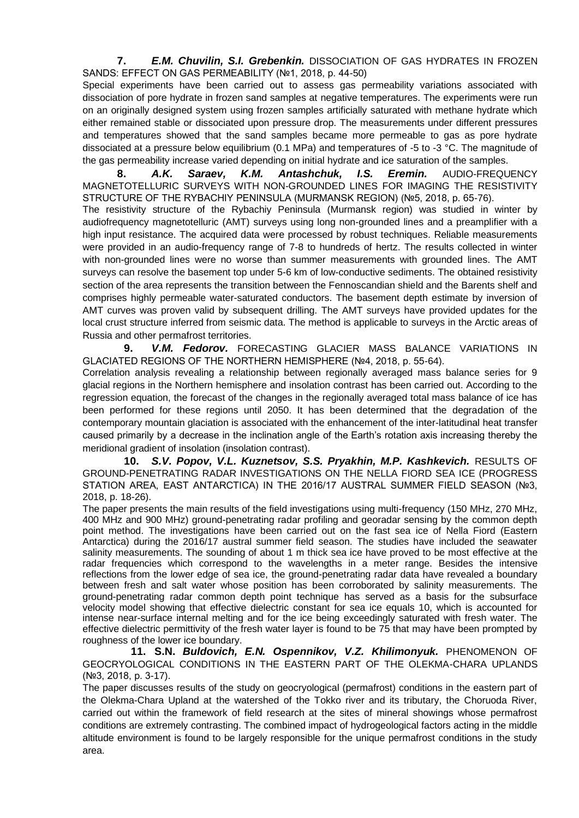**7.** *E.M. Chuvilin, S.I. Grebenkin.* DISSOCIATION OF GAS HYDRATES IN FROZEN SANDS: EFFECT ON GAS PERMEABILITY (№1, 2018, p. 44-50)

Special experiments have been carried out to assess gas permeability variations associated with dissociation of pore hydrate in frozen sand samples at negative temperatures. The experiments were run on an originally designed system using frozen samples artificially saturated with methane hydrate which either remained stable or dissociated upon pressure drop. The measurements under different pressures and temperatures showed that the sand samples became more permeable to gas as pore hydrate dissociated at a pressure below equilibrium (0.1 MPa) and temperatures of -5 to -3 °C. The magnitude of the gas permeability increase varied depending on initial hydrate and ice saturation of the samples.

**8.** *A.K. Saraev, K.M. Antashchuk, I.S. Eremin.* AUDIO-FREQUENCY MAGNETOTELLURIC SURVEYS WITH NON-GROUNDED LINES FOR IMAGING THE RESISTIVITY STRUCTURE OF THE RYBACHIY PENINSULA (MURMANSK REGION) (№5, 2018, p. 65-76).

The resistivity structure of the Rybachiy Peninsula (Murmansk region) was studied in winter by audiofrequency magnetotelluric (AMT) surveys using long non-grounded lines and a preamplifier with a high input resistance. The acquired data were processed by robust techniques. Reliable measurements were provided in an audio-frequency range of 7-8 to hundreds of hertz. The results collected in winter with non-grounded lines were no worse than summer measurements with grounded lines. The AMT surveys can resolve the basement top under 5-6 km of low-conductive sediments. The obtained resistivity section of the area represents the transition between the Fennoscandian shield and the Barents shelf and comprises highly permeable water-saturated conductors. The basement depth estimate by inversion of AMT curves was proven valid by subsequent drilling. The AMT surveys have provided updates for the local crust structure inferred from seismic data. The method is applicable to surveys in the Arctic areas of Russia and other permafrost territories.

**9.** *V.M. Fedorov.* FORECASTING GLACIER MASS BALANCE VARIATIONS IN GLACIATED REGIONS OF THE NORTHERN HEMISPHERE (№4, 2018, p. 55-64).

Correlation analysis revealing a relationship between regionally averaged mass balance series for 9 glacial regions in the Northern hemisphere and insolation contrast has been carried out. According to the regression equation, the forecast of the changes in the regionally averaged total mass balance of ice has been performed for these regions until 2050. It has been determined that the degradation of the contemporary mountain glaciation is associated with the enhancement of the inter-latitudinal heat transfer caused primarily by a decrease in the inclination angle of the Earth's rotation axis increasing thereby the meridional gradient of insolation (insolation contrast).

**10.** *S.V. Popov, V.L. Kuznetsov, S.S. Pryakhin, M.P. Kashkevich.* RESULTS OF GROUND-PENETRATING RADAR INVESTIGATIONS ON THE NELLA FIORD SEA ICE (PROGRESS STATION AREA, EAST ANTARCTICA) IN THE 2016/17 AUSTRAL SUMMER FIELD SEASON (№3, 2018, p. 18-26).

The paper presents the main results of the field investigations using multi-frequency (150 MHz, 270 MHz, 400 MHz and 900 MHz) ground-penetrating radar profiling and georadar sensing by the common depth point method. The investigations have been carried out on the fast sea ice of Nella Fiord (Eastern Antarctica) during the 2016/17 austral summer field season. The studies have included the seawater salinity measurements. The sounding of about 1 m thick sea ice have proved to be most effective at the radar frequencies which correspond to the wavelengths in a meter range. Besides the intensive reflections from the lower edge of sea ice, the ground-penetrating radar data have revealed a boundary between fresh and salt water whose position has been corroborated by salinity measurements. The ground-penetrating radar common depth point technique has served as a basis for the subsurface velocity model showing that effective dielectric constant for sea ice equals 10, which is accounted for intense near-surface internal melting and for the ice being exceedingly saturated with fresh water. The effective dielectric permittivity of the fresh water layer is found to be 75 that may have been prompted by roughness of the lower ice boundary.

**11. S.N.** *Buldovich, E.N. Ospennikov, V.Z. Khilimonyuk.* PHENOMENON OF GEOCRYOLOGICAL CONDITIONS IN THE EASTERN PART OF THE OLEKMA-CHARA UPLANDS (№3, 2018, p. 3-17).

The paper discusses results of the study on geocryological (permafrost) conditions in the eastern part of the Olekma-Chara Upland at the watershed of the Tokko river and its tributary, the Choruoda River, carried out within the framework of field research at the sites of mineral showings whose permafrost conditions are extremely contrasting. The combined impact of hydrogeological factors acting in the middle altitude environment is found to be largely responsible for the unique permafrost conditions in the study area.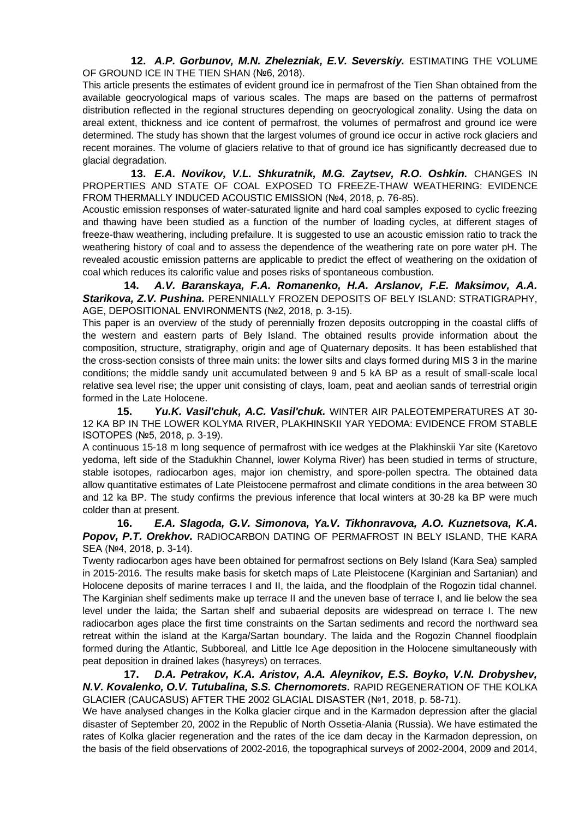**12.** *A.P. Gorbunov, M.N. Zhelezniak, E.V. Severskiy.* ESTIMATING THE VOLUME OF GROUND ICE IN THE TIEN SHAN (№6, 2018).

This article presents the estimates of evident ground ice in permafrost of the Tien Shan obtained from the available geocryological maps of various scales. The maps are based on the patterns of permafrost distribution reflected in the regional structures depending on geocryological zonality. Using the data on areal extent, thickness and ice content of permafrost, the volumes of permafrost and ground ice were determined. The study has shown that the largest volumes of ground ice occur in active rock glaciers and recent moraines. The volume of glaciers relative to that of ground ice has significantly decreased due to glacial degradation.

**13.** *E.A. Novikov, V.L. Shkuratnik, M.G. Zaytsev, R.O. Oshkin.* CHANGES IN PROPERTIES AND STATE OF COAL EXPOSED TO FREEZE-THAW WEATHERING: EVIDENCE FROM THERMALLY INDUCED ACOUSTIC EMISSION (№4, 2018, p. 76-85).

Acoustic emission responses of water-saturated lignite and hard coal samples exposed to cyclic freezing and thawing have been studied as a function of the number of loading cycles, at different stages of freeze-thaw weathering, including prefailure. It is suggested to use an acoustic emission ratio to track the weathering history of coal and to assess the dependence of the weathering rate on pore water pH. The revealed acoustic emission patterns are applicable to predict the effect of weathering on the oxidation of coal which reduces its calorific value and poses risks of spontaneous combustion.

**14.** *A.V. Baranskaya, F.A. Romanenko, H.A. Arslanov, F.E. Maksimov, A.A. Starikova, Z.V. Pushina.* PERENNIALLY FROZEN DEPOSITS OF BELY ISLAND: STRATIGRAPHY, AGE, DEPOSITIONAL ENVIRONMENTS (№2, 2018, p. 3-15).

This paper is an overview of the study of perennially frozen deposits outcropping in the coastal cliffs of the western and eastern parts of Bely Island. The obtained results provide information about the composition, structure, stratigraphy, origin and age of Quaternary deposits. It has been established that the cross-section consists of three main units: the lower silts and clays formed during MIS 3 in the marine conditions; the middle sandy unit accumulated between 9 and 5 kA BP as a result of small-scale local relative sea level rise; the upper unit consisting of clays, loam, peat and aeolian sands of terrestrial origin formed in the Late Holocene.

**15.** *Yu.K. Vasil'chuk, A.C. Vasil'chuk.* WINTER AIR PALEOTEMPERATURES AT 30- 12 KA BP IN THE LOWER KOLYMA RIVER, PLAKHINSKII YAR YEDOMA: EVIDENCE FROM STABLE ISOTOPES (№5, 2018, p. 3-19).

A continuous 15-18 m long sequence of permafrost with ice wedges at the Plakhinskii Yar site (Karetovo yedoma, left side of the Stadukhin Channel, lower Kolyma River) has been studied in terms of structure, stable isotopes, radiocarbon ages, major ion chemistry, and spore-pollen spectra. The obtained data allow quantitative estimates of Late Pleistocene permafrost and climate conditions in the area between 30 and 12 ka BP. The study confirms the previous inference that local winters at 30-28 ka BP were much colder than at present.

**16.** *E.A. Slagoda, G.V. Simonova, Ya.V. Tikhonravova, A.O. Kuznetsova, K.A. Popov, P.T. Orekhov.* RADIOCARBON DATING OF PERMAFROST IN BELY ISLAND, THE KARA SEA (№4, 2018, p. 3-14).

Twenty radiocarbon ages have been obtained for permafrost sections on Bely Island (Kara Sea) sampled in 2015-2016. The results make basis for sketch maps of Late Pleistocene (Karginian and Sartanian) and Holocene deposits of marine terraces I and II, the laida, and the floodplain of the Rogozin tidal channel. The Karginian shelf sediments make up terrace II and the uneven base of terrace I, and lie below the sea level under the laida; the Sartan shelf and subaerial deposits are widespread on terrace I. The new radiocarbon ages place the first time constraints on the Sartan sediments and record the northward sea retreat within the island at the Karga/Sartan boundary. The laida and the Rogozin Channel floodplain formed during the Atlantic, Subboreal, and Little Ice Age deposition in the Holocene simultaneously with peat deposition in drained lakes (hasyreys) on terraces.

**17.** *D.A. Petrakov, K.A. Aristov, A.A. Aleynikov, E.S. Boyko, V.N. Drobyshev, N.V. Kovalenko, O.V. Tutubalina, S.S. Chernomorets.* RAPID REGENERATION OF THE KOLKA GLACIER (CAUCASUS) AFTER THE 2002 GLACIAL DISASTER (№1, 2018, p. 58-71).

We have analysed changes in the Kolka glacier cirque and in the Karmadon depression after the glacial disaster of September 20, 2002 in the Republic of North Ossetia-Alania (Russia). We have estimated the rates of Kolka glacier regeneration and the rates of the ice dam decay in the Karmadon depression, on the basis of the field observations of 2002-2016, the topographical surveys of 2002-2004, 2009 and 2014,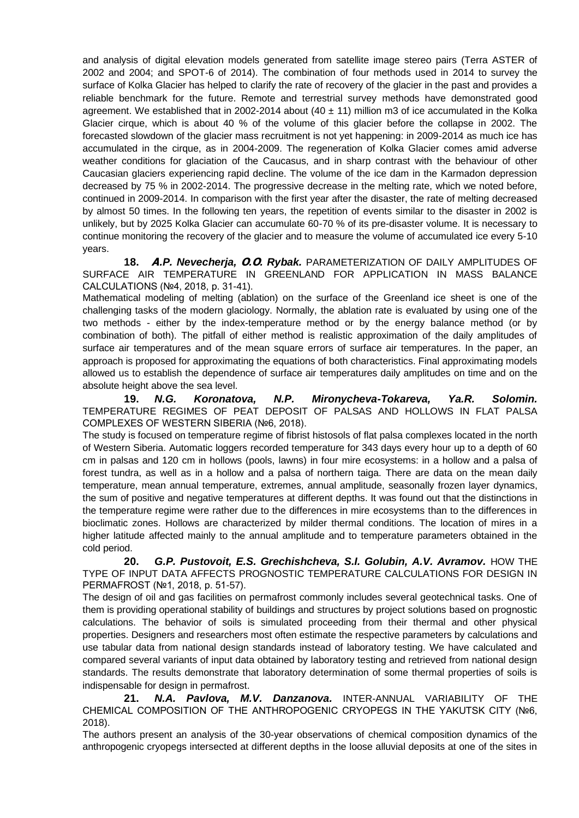and analysis of digital elevation models generated from satellite image stereo pairs (Terra ASTER of 2002 and 2004; and SPOT-6 of 2014). The combination of four methods used in 2014 to survey the surface of Kolka Glacier has helped to clarify the rate of recovery of the glacier in the past and provides a reliable benchmark for the future. Remote and terrestrial survey methods have demonstrated good agreement. We established that in 2002-2014 about  $(40 \pm 11)$  million m3 of ice accumulated in the Kolka Glacier cirque, which is about 40 % of the volume of this glacier before the collapse in 2002. The forecasted slowdown of the glacier mass recruitment is not yet happening: in 2009-2014 as much ice has accumulated in the cirque, as in 2004-2009. The regeneration of Kolka Glacier comes amid adverse weather conditions for glaciation of the Caucasus, and in sharp contrast with the behaviour of other Caucasian glaciers experiencing rapid decline. The volume of the ice dam in the Karmadon depression decreased by 75 % in 2002-2014. The progressive decrease in the melting rate, which we noted before, continued in 2009-2014. In comparison with the first year after the disaster, the rate of melting decreased by almost 50 times. In the following ten years, the repetition of events similar to the disaster in 2002 is unlikely, but by 2025 Kolka Glacier can accumulate 60-70 % of its pre-disaster volume. It is necessary to continue monitoring the recovery of the glacier and to measure the volume of accumulated ice every 5-10 years.

**18. А***.P. Nevecherja,* **О***.***О***. Rybak.* PARAMETERIZATION OF DAILY AMPLITUDES OF SURFACE AIR TEMPERATURE IN GREENLAND FOR APPLICATION IN MASS BALANCE CALCULATIONS (№4, 2018, p. 31-41).

Mathematical modeling of melting (ablation) on the surface of the Greenland ice sheet is one of the challenging tasks of the modern glaciology. Normally, the ablation rate is evaluated by using one of the two methods - either by the index-temperature method or by the energy balance method (or by combination of both). The pitfall of either method is realistic approximation of the daily amplitudes of surface air temperatures and of the mean square errors of surface air temperatures. In the paper, an approach is proposed for approximating the equations of both characteristics. Final approximating models allowed us to establish the dependence of surface air temperatures daily amplitudes on time and on the absolute height above the sea level.

**19.** *N.G. Koronatova, N.P. Mironycheva-Tokareva, Ya.R. Solomin.* TEMPERATURE REGIMES OF PEAT DEPOSIT OF PALSAS AND HOLLOWS IN FLAT PALSA COMPLEXES OF WESTERN SIBERIA (№6, 2018).

The study is focused on temperature regime of fibrist histosols of flat palsa complexes located in the north of Western Siberia. Automatic loggers recorded temperature for 343 days every hour up to a depth of 60 cm in palsas and 120 cm in hollows (pools, lawns) in four mire ecosystems: in a hollow and a palsa of forest tundra, as well as in a hollow and a palsa of northern taiga. There are data on the mean daily temperature, mean annual temperature, extremes, annual amplitude, seasonally frozen layer dynamics, the sum of positive and negative temperatures at different depths. It was found out that the distinctions in the temperature regime were rather due to the differences in mire ecosystems than to the differences in bioclimatic zones. Hollows are characterized by milder thermal conditions. The location of mires in a higher latitude affected mainly to the annual amplitude and to temperature parameters obtained in the cold period.

**20.** *G.P. Pustovoit, E.S. Grechishcheva, S.I. Golubin, A.V. Avramov.* HOW THE TYPE OF INPUT DATA AFFECTS PROGNOSTIC TEMPERATURE CALCULATIONS FOR DESIGN IN PERMAFROST (№1, 2018, p. 51-57).

The design of oil and gas facilities on permafrost commonly includes several geotechnical tasks. One of them is providing operational stability of buildings and structures by project solutions based on prognostic calculations. The behavior of soils is simulated proceeding from their thermal and other physical properties. Designers and researchers most often estimate the respective parameters by calculations and use tabular data from national design standards instead of laboratory testing. We have calculated and compared several variants of input data obtained by laboratory testing and retrieved from national design standards. The results demonstrate that laboratory determination of some thermal properties of soils is indispensable for design in permafrost.

**21.** *N.A. Pavlova, M.V. Danzanova.* INTER-ANNUAL VARIABILITY OF THE CHEMICAL COMPOSITION OF THE ANTHROPOGENIC CRYOPEGS IN THE YAKUTSK CITY (№6, 2018).

The authors present an analysis of the 30-year observations of chemical composition dynamics of the anthropogenic cryopegs intersected at different depths in the loose alluvial deposits at one of the sites in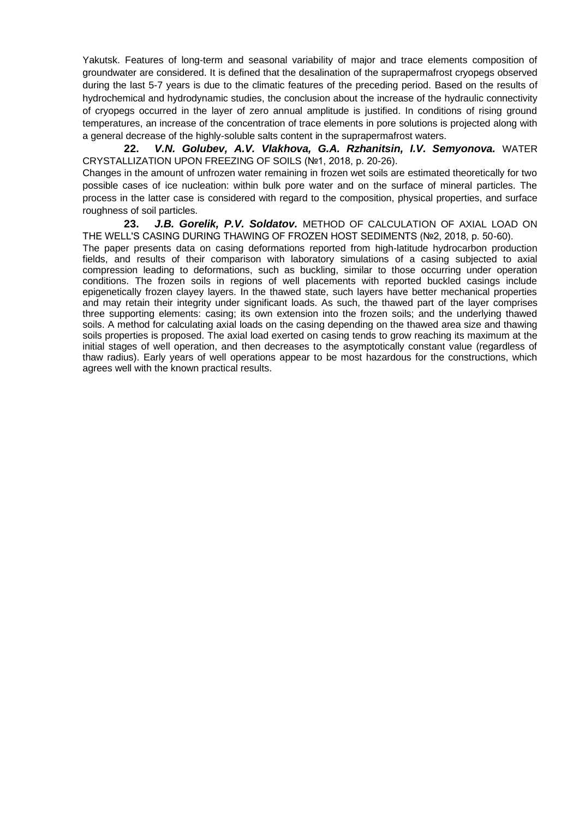Yakutsk. Features of long-term and seasonal variability of major and trace elements composition of groundwater are considered. It is defined that the desalination of the suprapermafrost cryopegs observed during the last 5-7 years is due to the climatic features of the preceding period. Based on the results of hydrochemical and hydrodynamic studies, the conclusion about the increase of the hydraulic connectivity of cryopegs occurred in the layer of zero annual amplitude is justified. In conditions of rising ground temperatures, an increase of the concentration of trace elements in pore solutions is projected along with a general decrease of the highly-soluble salts content in the suprapermafrost waters.

**22.** *V.N. Golubev, A.V. Vlakhova, G.A. Rzhanitsin, I.V. Semyonova.* WATER CRYSTALLIZATION UPON FREEZING OF SOILS (№1, 2018, p. 20-26).

Changes in the amount of unfrozen water remaining in frozen wet soils are estimated theoretically for two possible cases of ice nucleation: within bulk pore water and on the surface of mineral particles. The process in the latter case is considered with regard to the composition, physical properties, and surface roughness of soil particles.

**23.** *J.B. Gorelik, P.V. Soldatov.* METHOD OF CALCULATION OF AXIAL LOAD ON THE WELL'S CASING DURING THAWING OF FROZEN HOST SEDIMENTS (№2, 2018, p. 50-60). The paper presents data on casing deformations reported from high-latitude hydrocarbon production fields, and results of their comparison with laboratory simulations of a casing subjected to axial compression leading to deformations, such as buckling, similar to those occurring under operation conditions. The frozen soils in regions of well placements with reported buckled casings include epigenetically frozen clayey layers. In the thawed state, such layers have better mechanical properties and may retain their integrity under significant loads. As such, the thawed part of the layer comprises three supporting elements: casing; its own extension into the frozen soils; and the underlying thawed soils. A method for calculating axial loads on the casing depending on the thawed area size and thawing soils properties is proposed. The axial load exerted on casing tends to grow reaching its maximum at the initial stages of well operation, and then decreases to the asymptotically constant value (regardless of thaw radius). Early years of well operations appear to be most hazardous for the constructions, which agrees well with the known practical results.